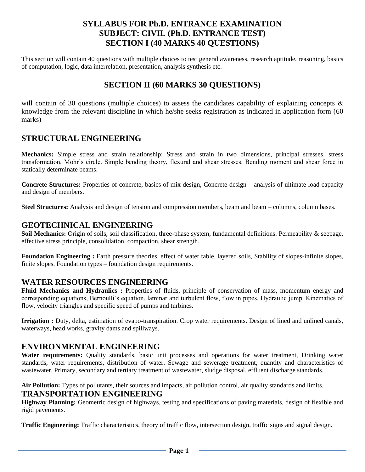# **SYLLABUS FOR Ph.D. ENTRANCE EXAMINATION SUBJECT: CIVIL (Ph.D. ENTRANCE TEST) SECTION I (40 MARKS 40 QUESTIONS)**

This section will contain 40 questions with multiple choices to test general awareness, research aptitude, reasoning, basics of computation, logic, data interrelation, presentation, analysis synthesis etc.

# **SECTION II (60 MARKS 30 QUESTIONS)**

will contain of 30 questions (multiple choices) to assess the candidates capability of explaining concepts & knowledge from the relevant discipline in which he/she seeks registration as indicated in application form (60 marks)

# **STRUCTURAL ENGINEERING**

**Mechanics:** Simple stress and strain relationship: Stress and strain in two dimensions, principal stresses, stress transformation, Mohr's circle. Simple bending theory, flexural and shear stresses. Bending moment and shear force in statically determinate beams.

**Concrete Structures:** Properties of concrete, basics of mix design, Concrete design – analysis of ultimate load capacity and design of members.

**Steel Structures:** Analysis and design of tension and compression members, beam and beam – columns, column bases.

# **GEOTECHNICAL ENGINEERING**

**Soil Mechanics:** Origin of soils, soil classification, three-phase system, fundamental definitions. Permeability & seepage, effective stress principle, consolidation, compaction, shear strength.

**Foundation Engineering :** Earth pressure theories, effect of water table, layered soils, Stability of slopes-infinite slopes, finite slopes. Foundation types – foundation design requirements.

# **WATER RESOURCES ENGINEERING**

**Fluid Mechanics and Hydraulics :** Properties of fluids, principle of conservation of mass, momentum energy and corresponding equations, Bernoulli's equation, laminar and turbulent flow, flow in pipes. Hydraulic jump. Kinematics of flow, velocity triangles and specific speed of pumps and turbines.

**Irrigation :** Duty, delta, estimation of evapo-transpiration. Crop water requirements. Design of lined and unlined canals, waterways, head works, gravity dams and spillways.

# **ENVIRONMENTAL ENGINEERING**

**Water requirements:** Quality standards, basic unit processes and operations for water treatment, Drinking water standards, water requirements, distribution of water. Sewage and sewerage treatment, quantity and characteristics of wastewater. Primary, secondary and tertiary treatment of wastewater, sludge disposal, effluent discharge standards.

**Air Pollution:** Types of pollutants, their sources and impacts, air pollution control, air quality standards and limits.

# **TRANSPORTATION ENGINEERING**

**Highway Planning:** Geometric design of highways, testing and specifications of paving materials, design of flexible and rigid pavements.

**Traffic Engineering:** Traffic characteristics, theory of traffic flow, intersection design, traffic signs and signal design.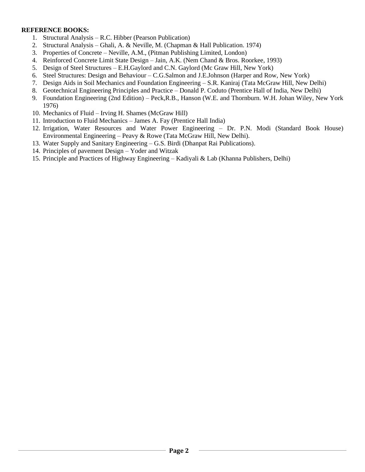#### **REFERENCE BOOKS:**

- 1. Structural Analysis R.C. Hibber (Pearson Publication)
- 2. Structural Analysis Ghali, A. & Neville, M. (Chapman & Hall Publication. 1974)
- 3. Properties of Concrete Neville, A.M., (Pitman Publishing Limited, London)
- 4. Reinforced Concrete Limit State Design Jain, A.K. (Nem Chand & Bros. Roorkee, 1993)
- 5. Design of Steel Structures E.H.Gaylord and C.N. Gaylord (Mc Graw Hill, New York)
- 6. Steel Structures: Design and Behaviour C.G.Salmon and J.E.Johnson (Harper and Row, New York)
- 7. Design Aids in Soil Mechanics and Foundation Engineering S.R. Kaniraj (Tata McGraw Hill, New Delhi)
- 8. Geotechnical Engineering Principles and Practice Donald P. Coduto (Prentice Hall of India, New Delhi)
- 9. Foundation Engineering (2nd Edition) Peck,R.B., Hanson (W.E. and Thornburn. W.H. Johan Wiley, New York 1976)
- 10. Mechanics of Fluid Irving H. Shames (McGraw Hill)
- 11. Introduction to Fluid Mechanics James A. Fay (Prentice Hall India)
- 12. Irrigation, Water Resources and Water Power Engineering Dr. P.N. Modi (Standard Book House) Environmental Engineering – Peavy & Rowe (Tata McGraw Hill, New Delhi).
- 13. Water Supply and Sanitary Engineering G.S. Birdi (Dhanpat Rai Publications).
- 14. Principles of pavement Design Yoder and Witzak
- 15. Principle and Practices of Highway Engineering Kadiyali & Lab (Khanna Publishers, Delhi)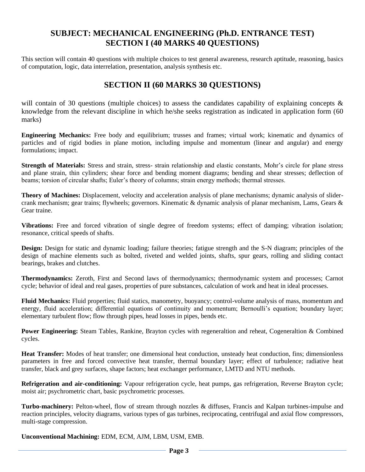# **SUBJECT: MECHANICAL ENGINEERING (Ph.D. ENTRANCE TEST) SECTION I (40 MARKS 40 QUESTIONS)**

This section will contain 40 questions with multiple choices to test general awareness, research aptitude, reasoning, basics of computation, logic, data interrelation, presentation, analysis synthesis etc.

# **SECTION II (60 MARKS 30 QUESTIONS)**

will contain of 30 questions (multiple choices) to assess the candidates capability of explaining concepts  $\&$ knowledge from the relevant discipline in which he/she seeks registration as indicated in application form (60 marks)

**Engineering Mechanics:** Free body and equilibrium; trusses and frames; virtual work; kinematic and dynamics of particles and of rigid bodies in plane motion, including impulse and momentum (linear and angular) and energy formulations; impact.

**Strength of Materials:** Stress and strain, stress- strain relationship and elastic constants, Mohr's circle for plane stress and plane strain, thin cylinders; shear force and bending moment diagrams; bending and shear stresses; deflection of beams; torsion of circular shafts; Euler's theory of columns; strain energy methods; thermal stresses.

**Theory of Machines:** Displacement, velocity and acceleration analysis of plane mechanisms; dynamic analysis of slidercrank mechanism; gear trains; flywheels; governors. Kinematic & dynamic analysis of planar mechanism, Lams, Gears & Gear traine.

**Vibrations:** Free and forced vibration of single degree of freedom systems; effect of damping; vibration isolation; resonance, critical speeds of shafts.

**Design:** Design for static and dynamic loading; failure theories; fatigue strength and the S-N diagram; principles of the design of machine elements such as bolted, riveted and welded joints, shafts, spur gears, rolling and sliding contact bearings, brakes and clutches.

**Thermodynamics:** Zeroth, First and Second laws of thermodynamics; thermodynamic system and processes; Carnot cycle; behavior of ideal and real gases, properties of pure substances, calculation of work and heat in ideal processes.

**Fluid Mechanics:** Fluid properties; fluid statics, manometry, buoyancy; control-volume analysis of mass, momentum and energy, fluid acceleration; differential equations of continuity and momentum; Bernoulli's equation; boundary layer; elementary turbulent flow; flow through pipes, head losses in pipes, bends etc.

**Power Engineering:** Steam Tables, Rankine, Brayton cycles with regeneraltion and reheat, Cogeneraltion & Combined cycles.

**Heat Transfer:** Modes of heat transfer; one dimensional heat conduction, unsteady heat conduction, fins; dimensionless parameters in free and forced convective heat transfer, thermal boundary layer; effect of turbulence; radiative heat transfer, black and grey surfaces, shape factors; heat exchanger performance, LMTD and NTU methods.

**Refrigeration and air-conditioning:** Vapour refrigeration cycle, heat pumps, gas refrigeration, Reverse Brayton cycle; moist air; psychrometric chart, basic psychrometric processes.

**Turbo-machinery:** Pelton-wheel, flow of stream through nozzles & diffuses, Francis and Kalpan turbines-impulse and reaction principles, velocity diagrams, various types of gas turbines, reciprocating, centrifugal and axial flow compressors, multi-stage compression.

**Unconventional Machining:** EDM, ECM, AJM, LBM, USM, EMB.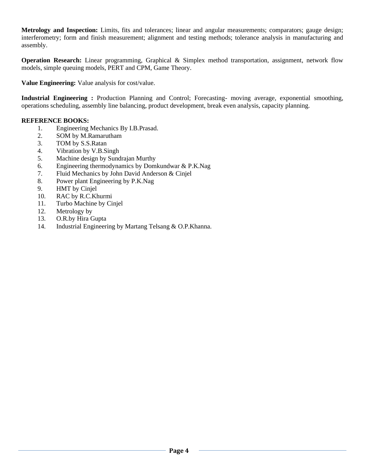**Metrology and Inspection:** Limits, fits and tolerances; linear and angular measurements; comparators; gauge design; interferometry; form and finish measurement; alignment and testing methods; tolerance analysis in manufacturing and assembly.

**Operation Research:** Linear programming, Graphical & Simplex method transportation, assignment, network flow models, simple queuing models, PERT and CPM, Game Theory.

**Value Engineering:** Value analysis for cost/value.

**Industrial Engineering :** Production Planning and Control; Forecasting- moving average, exponential smoothing, operations scheduling, assembly line balancing, product development, break even analysis, capacity planning.

#### **REFERENCE BOOKS:**

- 1. Engineering Mechanics By I.B.Prasad.
- 2. SOM by M.Ramarutham
- 3. TOM by S.S.Ratan
- 4. Vibration by V.B.Singh
- 5. Machine design by Sundrajan Murthy
- 6. Engineering thermodynamics by Domkundwar & P.K.Nag
- 7. Fluid Mechanics by John David Anderson & Cinjel
- 8. Power plant Engineering by P.K.Nag
- 9. HMT by Cinjel
- 10. RAC by R.C.Khurmi
- 11. Turbo Machine by Cinjel
- 12. Metrology by
- 13. O.R.by Hira Gupta
- 14. Industrial Engineering by Martang Telsang & O.P.Khanna.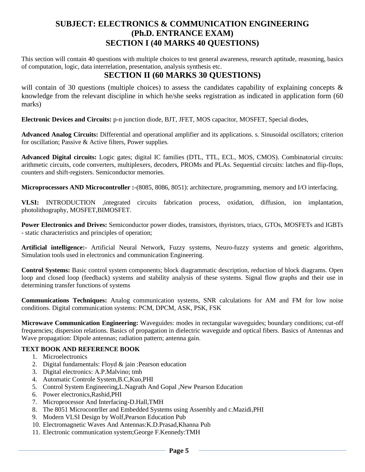# **SUBJECT: ELECTRONICS & COMMUNICATION ENGINEERING (Ph.D. ENTRANCE EXAM) SECTION I (40 MARKS 40 QUESTIONS)**

This section will contain 40 questions with multiple choices to test general awareness, research aptitude, reasoning, basics of computation, logic, data interrelation, presentation, analysis synthesis etc.

# **SECTION II (60 MARKS 30 QUESTIONS)**

will contain of 30 questions (multiple choices) to assess the candidates capability of explaining concepts & knowledge from the relevant discipline in which he/she seeks registration as indicated in application form (60 marks)

**Electronic Devices and Circuits:** p-n junction diode, BJT, JFET, MOS capacitor, MOSFET, Special diodes,

**Advanced Analog Circuits:** Differential and operational amplifier and its applications. s. Sinusoidal oscillators; criterion for oscillation; Passive & Active filters, Power supplies.

**Advanced Digital circuits:** Logic gates; digital IC families (DTL, TTL, ECL, MOS, CMOS). Combinatorial circuits: arithmetic circuits, code converters, multiplexers, decoders, PROMs and PLAs. Sequential circuits: latches and flip-flops, counters and shift-registers. Semiconductor memories.

**Microprocessors AND Microcontroller :**-(8085, 8086, 8051): architecture, programming, memory and I/O interfacing.

**VLSI:** INTRODUCTION ,integrated circuits fabrication process, oxidation, diffusion, ion implantation, photolithography, MOSFET,BIMOSFET.

**Power Electronics and Drives:** Semiconductor power diodes, transistors, thyristors, triacs, GTOs, MOSFETs and IGBTs - static characteristics and principles of operation;

**Artificial intelligence:-** Artificial Neural Network, Fuzzy systems, Neuro-fuzzy systems and genetic algorithms, Simulation tools used in electronics and communication Engineering.

**Control Systems:** Basic control system components; block diagrammatic description, reduction of block diagrams. Open loop and closed loop (feedback) systems and stability analysis of these systems. Signal flow graphs and their use in determining transfer functions of systems

**Communications Techniques:** Analog communication systems, SNR calculations for AM and FM for low noise conditions. Digital communication systems: PCM, DPCM, ASK, PSK, FSK

**Microwave Communication Engineering:** Waveguides: modes in rectangular waveguides; boundary conditions; cut-off frequencies; dispersion relations. Basics of propagation in dielectric waveguide and optical fibers. Basics of Antennas and Wave propagation: Dipole antennas; radiation pattern; antenna gain.

### **TEXT BOOK AND REFERENCE BOOK**

- 1. Microelectronics
- 2. Digital fundamentals: Floyd & jain :Pearson education
- 3. Digital electronics: A.P.Malvino; tmh
- 4. Automatic Controle System,B.C,Kuo,PHI
- 5. Control System Engineering,L.Nagrath And Gopal ,New Pearson Education
- 6. Power electronics,Rashid,PHI
- 7. Microprocessor And Interfacing-D.Hall,TMH
- 8. The 8051 Microcontrller and Embedded Systems using Assembly and c.Mazidi,PHI
- 9. Modern VLSI Design by Wolf,Pearson Education Pub
- 10. Electromagnetic Waves And Antennas:K.D.Prasad,Khanna Pub
- 11. Electronic communication system;George F.Kennedy:TMH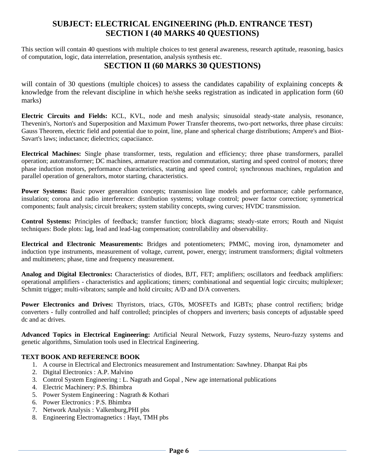# **SUBJECT: ELECTRICAL ENGINEERING (Ph.D. ENTRANCE TEST) SECTION I (40 MARKS 40 QUESTIONS)**

This section will contain 40 questions with multiple choices to test general awareness, research aptitude, reasoning, basics of computation, logic, data interrelation, presentation, analysis synthesis etc.

# **SECTION II (60 MARKS 30 QUESTIONS)**

will contain of 30 questions (multiple choices) to assess the candidates capability of explaining concepts & knowledge from the relevant discipline in which he/she seeks registration as indicated in application form (60 marks)

**Electric Circuits and Fields:** KCL, KVL, node and mesh analysis; sinusoidal steady-state analysis, resonance, Thevenin's, Norton's and Superposition and Maximum Power Transfer theorems, two-port networks, three phase circuits: Gauss Theorem, electric field and potential due to point, line, plane and spherical charge distributions; Ampere's and Biot-Savart's laws; inductance; dielectrics; capaciiance.

**Electrical Machines:** Single phase transformer, tests, regulation and efficiency; three phase transformers, parallel operation; autotransforrner; DC machines, armature reaction and commutation, starting and speed control of motors; three phase induction motors, performance characteristics, starting and speed control; synchronous machines, regulation and parallel operation of generaltors, motor starting, characteristics.

**Power Systems:** Basic power generaltion concepts; transmission line models and performance; cable performance, insulation; corona and radio interference: distribution systems; voltage control; power factor correction; symmetrical components; fault analysis; circuit breakers; system stability concepts, swing curves; HVDC transmission.

**Control Systems:** Principles of feedback; transfer function; block diagrams; steady-state errors; Routh and Niquist techniques: Bode plots: lag, lead and lead-lag compensation; controllability and observability.

**Electrical and Electronic Measurements:** Bridges and potentiometers; PMMC, moving iron, dynamometer and induction type instruments, measurement of voltage, current, power, energy; instrument transformers; digital voltmeters and multimeters; phase, time and frequency measurement.

**Analog and Digital Electronics:** Characteristics of diodes, BJT, FET; amplifiers; oscillators and feedback amplifiers: operational amplifiers - characteristics and applications; timers; combinational and sequential logic circuits; multiplexer; Schmitt trigger; multi-vibrators; sample and hold circuits; A/D and D/A converters.

**Power Electronics and Drives:** Thyristors, triacs, GT0s, MOSFETs and IGBTs; phase control rectifiers; bridge converters - fully controlled and half controlled; principles of choppers and inverters; basis concepts of adjustable speed dc and ac drives.

**Advanced Topics in Electrical Engineering:** Artificial Neural Network, Fuzzy systems, Neuro-fuzzy systems and genetic algorithms, Simulation tools used in Electrical Engineering.

### **TEXT BOOK AND REFERENCE BOOK**

- 1. A course in Electrical and Electronics measurement and Instrumentation: Sawhney. Dhanpat Rai pbs
- 2. Digital Electronics : A.P. Malvino
- 3. Control System Engineering : L. Nagrath and Gopal , New age international publications
- 4. Electric Machinery: P.S. Bhimbra
- 5. Power System Engineering : Nagrath & Kothari
- 6. Power Electronics : P.S. Bhimbra
- 7. Network Analysis : Valkenburg,PHI pbs
- 8. Engineering Electromagnetics : Hayt, TMH pbs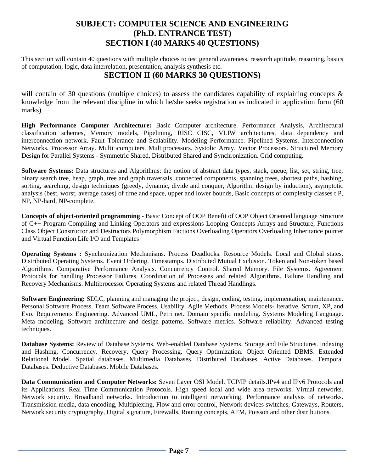# **SUBJECT: COMPUTER SCIENCE AND ENGINEERING (Ph.D. ENTRANCE TEST) SECTION I (40 MARKS 40 QUESTIONS)**

This section will contain 40 questions with multiple choices to test general awareness, research aptitude, reasoning, basics of computation, logic, data interrelation, presentation, analysis synthesis etc.

# **SECTION II (60 MARKS 30 QUESTIONS)**

will contain of 30 questions (multiple choices) to assess the candidates capability of explaining concepts  $\&$ knowledge from the relevant discipline in which he/she seeks registration as indicated in application form (60 marks)

**High Performance Computer Architecture:** Basic Computer architecture. Performance Analysis, Architectural classification schemes, Memory models, Pipelining, RISC CISC, VLIW architectures, data dependency and interconnection network. Fault Tolerance and Scalability. Modeling Performance. Pipelined Systems. Interconnection Networks. Processor Array. Multi¬computers. Multiprocessors. Systolic Array. Vector Processors. Structured Memory Design for Parallel Systems - Symmetric Shared, Distributed Shared and Synchronization. Grid computing.

**Software Systems:** Data structures and Algorithms: the notion of abstract data types, stack, queue, list, set, string, tree, binary search tree, heap, graph, tree and graph traversals, connected components, spanning trees, shortest paths, hashing, sorting, searching, design techniques (greedy, dynamic, divide and conquer, Algorithm design by induction), asymptotic analysis (best, worst, average cases) of time and space, upper and lower bounds, Basic concepts of complexity classes t P, NP, NP-hard, NP-complete.

**Concepts of object-oriented programming** - Basic Concept of OOP Benefit of OOP Object Oriented language Structure of C++ Program Compiling and Linking Operators and expressions Looping Concepts Arrays and Structure, Functions Class Object Constructor and Destructors Polymorphism Factions Overloading Operators Overloading Inheritance pointer and Virtual Function Life I/O and Templates

**Operating Systems :** Synchronization Mechanisms. Process Deadlocks. Resource Models. Local and Global states. Distributed Operating Systems. Event Ordering. Timestamps. Distributed Mutual Exclusion. Token and Non-token based Algorithms. Comparative Performance Analysis. Concurrency Control. Shared Memory. File Systems. Agreement Protocols for handling Processor Failures. Coordination of Processes and related Algorithms. Failure Handling and Recovery Mechanisms. Multiprocessor Operating Systems and related Thread Handlings.

**Software Engineering:** SDLC, planning and managing the project, design, coding, testing, implementation, maintenance. Personal Software Process. Team Software Process. Usability. Agile Methods. Process Models- Iterative, Scrum, XP, and Evo. Requirements Engineering. Advanced UML, Petri net. Domain specific modeling. Systems Modeling Language. Meta modeling. Software architecture and design patterns. Software metrics. Software reliability. Advanced testing techniques.

**Database Systems:** Review of Database Systems. Web-enabled Database Systems. Storage and File Structures. Indexing and Hashing. Concurrency. Recovery. Query Processing. Query Optimization. Object Oriented DBMS. Extended Relational Model. Spatial databases. Multimedia Databases. Distributed Databases. Active Databases. Temporal Databases. Deductive Databases. Mobile Databases.

**Data Communication and Computer Networks:** Seven Layer OSI Model. TCP/IP details.IPv4 and IPv6 Protocols and its Applications. Real Time Communication Protocols. High speed local and wide area networks. Virtual networks. Network security. Broadband networks. Introduction to intelligent networking. Performance analysis of networks. Transmission media, data encoding, Multiplexing, Flow and error control, Network devices switches, Gateways, Routers, Network security cryptography, Digital signature, Firewalls, Routing concepts, ATM, Poisson and other distributions.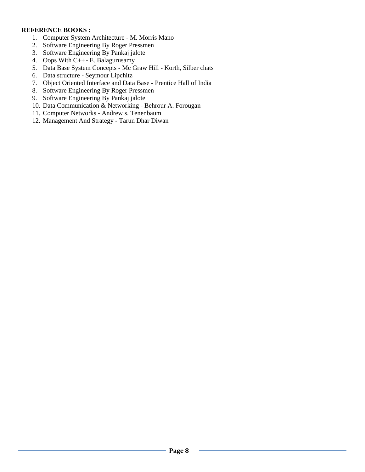#### **REFERENCE BOOKS :**

- 1. Computer System Architecture M. Morris Mano
- 2. Software Engineering By Roger Pressmen
- 3. Software Engineering By Pankaj jalote
- 4. Oops With C++- E. Balagurusamy
- 5. Data Base System Concepts Mc Graw Hill Korth, Silber chats
- 6. Data structure Seymour Lipchitz
- 7. Object Oriented Interface and Data Base Prentice Hall of India
- 8. Software Engineering By Roger Pressmen
- 9. Software Engineering By Pankaj jalote
- 10. Data Communication & Networking Behrour A. Forougan
- 11. Computer Networks Andrew s. Tenenbaum
- 12. Management And Strategy Tarun Dhar Diwan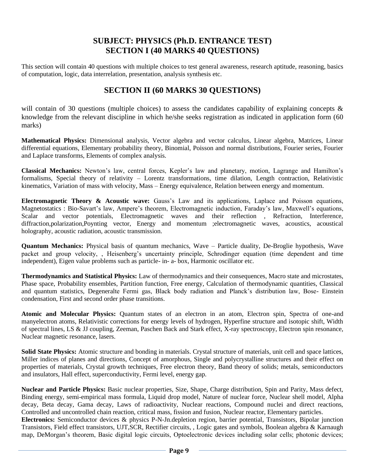# **SUBJECT: PHYSICS (Ph.D. ENTRANCE TEST) SECTION I (40 MARKS 40 QUESTIONS)**

This section will contain 40 questions with multiple choices to test general awareness, research aptitude, reasoning, basics of computation, logic, data interrelation, presentation, analysis synthesis etc.

# **SECTION II (60 MARKS 30 QUESTIONS)**

will contain of 30 questions (multiple choices) to assess the candidates capability of explaining concepts  $\&$ knowledge from the relevant discipline in which he/she seeks registration as indicated in application form (60 marks)

**Mathematical Physics:** Dimensional analysis, Vector algebra and vector calculus, Linear algebra, Matrices, Linear differential equations, Elementary probability theory, Binomial, Poisson and normal distributions, Fourier series, Fourier and Laplace transforms, Elements of complex analysis.

**Classical Mechanics:** Newton's law, central forces, Kepler's law and planetary, motion, Lagrange and Hamilton's formalisms, Special theory of relativity – Lorentz transformations, time dilation, Length contraction, Relativistic kinematics, Variation of mass with velocity, Mass – Energy equivalence, Relation between energy and momentum.

**Electromagnetic Theory & Acoustic wave:** Gauss's Law and its applications, Laplace and Poisson equations, Magnetostatics : Bio-Savart's law, Ampere's theorem, Electromagnetic induction, Faraday's law, Maxwell's equations, Scalar and vector potentials, Electromagnetic waves and their reflection, Refraction, Interference, diffraction,polarization,Poynting vector, Energy and momentum ;electromagnetic waves, acoustics, acoustical holography, acoustic radiation, acoustic transmission.

**Quantum Mechanics:** Physical basis of quantum mechanics, Wave – Particle duality, De-Broglie hypothesis, Wave packet and group velocity, , Heisenberg's uncertainty principle, Schrodinger equation (time dependent and time independent), Eigen value problems such as particle- in- a- box, Harmonic oscillator etc.

**Thermodynamics and Statistical Physics:** Law of thermodynamics and their consequences, Macro state and microstates, Phase space, Probability ensembles, Partition function, Free energy, Calculation of thermodynamic quantities, Classical and quantum statistics, Degeneralte Fermi gas, Black body radiation and Planck's distribution law, Bose- Einstein condensation, First and second order phase transitions.

**Atomic and Molecular Physics:** Quantum states of an electron in an atom, Electron spin, Spectra of one-and manyelectron atoms, Relativistic corrections for energy levels of hydrogen, Hyperfine structure and isotopic shift, Width of spectral lines, LS & JJ coupling, Zeeman, Paschen Back and Stark effect, X-ray spectroscopy, Electron spin resonance, Nuclear magnetic resonance, lasers.

**Solid State Physics:** Atomic structure and bonding in materials. Crystal structure of materials, unit cell and space lattices, Miller indices of planes and directions, Concept of amorphous, Single and polycrystalline structures and their effect on properties of materials, Crystal growth techniques, Free electron theory, Band theory of solids; metals, semiconductors and insulators, Hall effect, superconductivity, Fermi level, energy gap.

**Nuclear and Particle Physics:** Basic nuclear properties, Size, Shape, Charge distribution, Spin and Parity, Mass defect, Binding energy, semi-empirical mass formula, Liquid drop model, Nature of nuclear force, Nuclear shell model, Alpha decay, Beta decay, Gama decay, Laws of radioactivity, Nuclear reactions, Compound nuclei and direct reactions, Controlled and uncontrolled chain reaction, critical mass, fission and fusion, Nuclear reactor, Elementary particles. **Electronics:** Semiconductor devices & physics P-N-Jn.depletion region, barrier potential, Transistors, Bipolar junction Transistors, Field effect transistors, UJT,SCR, Rectifier circuits, , Logic gates and symbols, Boolean algebra & Karnaugh map, DeMorgan's theorem, Basic digital logic circuits, Optoelectronic devices including solar cells; photonic devices;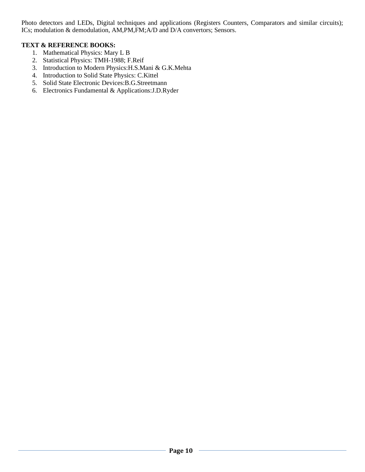Photo detectors and LEDs, Digital techniques and applications (Registers Counters, Comparators and similar circuits); ICs; modulation & demodulation, AM,PM,FM;A/D and D/A convertors; Sensors.

### **TEXT & REFERENCE BOOKS:**

- 1. Mathematical Physics: Mary L B
- 2. Statistical Physics: TMH-1988; F.Reif
- 3. Introduction to Modern Physics:H.S.Mani & G.K.Mehta
- 4. Introduction to Solid State Physics: C.Kittel
- 5. Solid State Electronic Devices:B.G.Streetmann
- 6. Electronics Fundamental & Applications:J.D.Ryder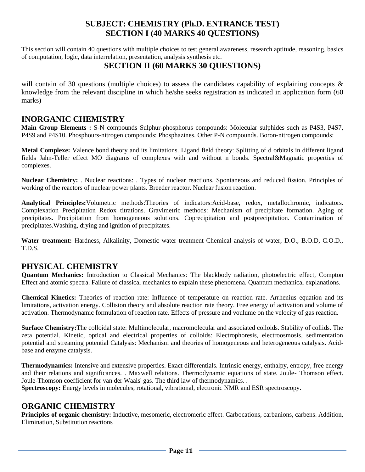# **SUBJECT: CHEMISTRY (Ph.D. ENTRANCE TEST) SECTION I (40 MARKS 40 QUESTIONS)**

This section will contain 40 questions with multiple choices to test general awareness, research aptitude, reasoning, basics of computation, logic, data interrelation, presentation, analysis synthesis etc.

# **SECTION II (60 MARKS 30 QUESTIONS)**

will contain of 30 questions (multiple choices) to assess the candidates capability of explaining concepts & knowledge from the relevant discipline in which he/she seeks registration as indicated in application form (60 marks)

## **INORGANIC CHEMISTRY**

**Main Group Elements :** S-N compounds Sulphur-phosphorus compounds: Molecular sulphides such as P4S3, P4S7, P4S9 and P4S10. Phosphours-nitrogen compounds: Phosphazines. Other P-N compounds. Boron-nitrogen compounds:

**Metal Complexe:** Valence bond theory and its limitations. Ligand field theory: Splitting of d orbitals in different ligand fields Jahn-Teller effect MO diagrams of complexes with and without n bonds. Spectral&Magnatic properties of complexes.

**Nuclear Chemistry:** . Nuclear reactions: . Types of nuclear reactions. Spontaneous and reduced fission. Principles of working of the reactors of nuclear power plants. Breeder reactor. Nuclear fusion reaction.

**Analytical Principles:**Volumetric methods:Theories of indicators:Acid-base, redox, metallochromic, indicators. Complexation Precipitation Redox titrations. Gravimetric methods: Mechanism of precipitate formation. Aging of precipitates. Precipitation from homogeneous solutions. Coprecipitation and postprecipitation. Contamination of precipitates.Washing, drying and ignition of precipitates.

**Water treatment:** Hardness, Alkalinity, Domestic water treatment Chemical analysis of water, D.O., B.O.D, C.O.D., T.D.S.

# **PHYSICAL CHEMISTRY**

**Quantum Mechanics:** Introduction to Classical Mechanics: The blackbody radiation, photoelectric effect, Compton Effect and atomic spectra. Failure of classical mechanics to explain these phenomena. Quantum mechanical explanations.

**Chemical Kinetics:** Theories of reaction rate: Influence of temperature on reaction rate. Arrhenius equation and its limitations, activation energy. Collision theory and absolute reaction rate theory. Free energy of activation and volume of activation. Thermodynamic formulation of reaction rate. Effects of pressure and voulume on the velocity of gas reaction.

**Surface Chemistry:**The colloidal state: Multimolecular, macromolecular and associated colloids. Stability of collids. The zeta potential. Kinetic, optical and electrical properties of colloids: Electrophoresis, electroosmosis, sedimentation potential and streaming potential Catalysis: Mechanism and theories of homogeneous and heterogeneous catalysis. Acidbase and enzyme catalysis.

**Thermodynamics:** Intensive and extensive properties. Exact differentials. Intrinsic energy, enthalpy, entropy, free energy and their relations and significances. . Maxwell relations. Thermodynamic equations of state. Joule- Thomson effect. Joule-Thomson coefficient for van der Waals' gas. The third law of thermodynamics. .

**Spectroscopy:** Energy levels in molecules, rotational, vibrational, electronic NMR and ESR spectroscopy.

# **ORGANIC CHEMISTRY**

**Principles of organic chemistry:** Inductive, mesomeric, electromeric effect. Carbocations, carbanions, carbens. Addition, Elimination, Substitution reactions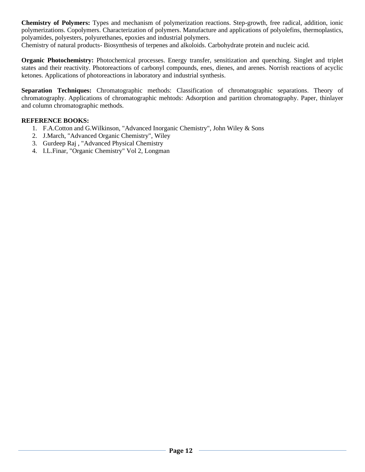**Chemistry of Polymers:** Types and mechanism of polymerization reactions. Step-growth, free radical, addition, ionic polymerizations. Copolymers. Characterization of polymers. Manufacture and applications of polyolefins, thermoplastics, polyamides, polyesters, polyurethanes, epoxies and industrial polymers.

Chemistry of natural products- Biosynthesis of terpenes and alkoloids. Carbohydrate protein and nucleic acid.

**Organic Photochemistry:** Photochemical processes. Energy transfer, sensitization and quenching. Singlet and triplet states and their reactivity. Photoreactions of carbonyl compounds, enes, dienes, and arenes. Norrish reactions of acyclic ketones. Applications of photoreactions in laboratory and industrial synthesis.

**Separation Techniques:** Chromatographic methods: Classification of chromatographic separations. Theory of chromatography. Applications of chromatographic mehtods: Adsorption and partition chromatography. Paper, thinlayer and column chromatographic methods.

### **REFERENCE BOOKS:**

- 1. F.A.Cotton and G.Wilkinson, "Advanced Inorganic Chemistry", John Wiley & Sons
- 2. J.March, "Advanced Organic Chemistry", Wiley
- 3. Gurdeep Raj , "Advanced Physical Chemistry
- 4. I.L.Finar, "Organic Chemistry" Vol 2, Longman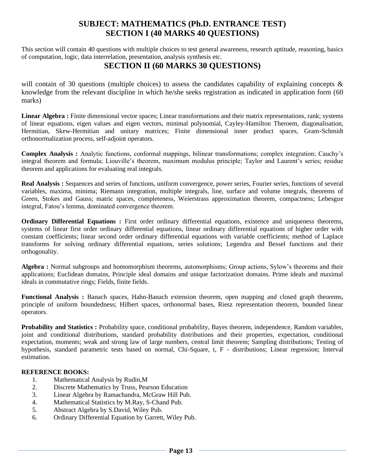# **SUBJECT: MATHEMATICS (Ph.D. ENTRANCE TEST) SECTION I (40 MARKS 40 QUESTIONS)**

This section will contain 40 questions with multiple choices to test general awareness, research aptitude, reasoning, basics of computation, logic, data interrelation, presentation, analysis synthesis etc.

### **SECTION II (60 MARKS 30 QUESTIONS)**

will contain of 30 questions (multiple choices) to assess the candidates capability of explaining concepts  $\&$ knowledge from the relevant discipline in which he/she seeks registration as indicated in application form (60 marks)

**Linear Algebra :** Finite dimensional vector spaces; Linear transformations and their matrix representations, rank; systems of linear equations, eigen values and eigen vectors, minimal polynomial, Cayley-Hamilton Theroem, diagonalisation, Hermitian, Skew-Hermitian and unitary matrices; Finite dimensional inner product spaces, Gram-Schmidt orthonormalization process, self-adjoint operators.

**Complex Analysis :** Analytic functions, conformal mappings, bilinear transformations; complex integration; Cauchy's integral theorem and formula; Liouville's theorem, maximum modulus principle; Taylor and Laurent's series; residue theorem and applications for evaluating real integrals.

**Real Analysis :** Sequences and series of functions, uniform convergence, power series, Fourier series, functions of several variables, maxima, minima; Riemann integration, multiple integrals, line, surface and volume integrals, theorems of Green, Stokes and Gauss; matric spaces, completeness, Weierstrass approximation theorem, compactness; Lebesgue integral, Fatou's lemma, dominated convergence theorem.

**Ordinary Differential Equations :** First order ordinary differential equations, existence and uniqueness theorems, systems of linear first order ordinary differential equations, linear ordinary differential equations of higher order with constant coefficients; linear second order ordinary differential equations with variable coefficients; method of Laplace transforms for solving ordinary differential equations, series solutions; Legendra and Bessel functions and their orthogonality.

**Algebra :** Normal subgroups and homomorphism theorems, automorphisms; Group actions, Sylow's theorems and their applications; Euclidean domains, Principle ideal domains and unique factorization domains. Prime ideals and maximal ideals in commutative rings; Fields, finite fields.

**Functional Analysis :** Banach spaces, Hahn-Banach extension theorem, open mapping and closed graph theorems, principle of uniform boundedness; Hilbert spaces, orthonormal bases, Riesz representation theorem, bounded linear operators.

**Probability and Statistics :** Probability space, conditional probability, Bayes theorem, independence, Random variables, joint and conditional distributions, standard probability distributions and their properties, expectation, conditional expectation, moments; weak and strong law of large numbers, central limit theorem; Sampling distributions; Testing of hypothesis, standard parametric tests based on normal, Chi-Square, t, F - distributions; Linear regression; Interval estimation.

#### **REFERENCE BOOKS:**

- 1. Mathematical Analysis by Rudin,M
- 2. Discrete Mathematics by Truss, Pearson Education
- 3. Linear Algebra by Ramachandra, McGraw Hill Pub.
- 4. Mathematical Statistics by M.Ray, S-Chand Pub.
- 5. Abstract Algebra by S.David, Wiley Pub.
- 6. Ordinary Differential Equation by Garrett, Wiley Pub.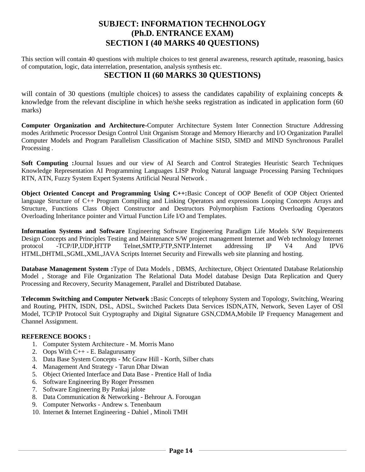# **SUBJECT: INFORMATION TECHNOLOGY (Ph.D. ENTRANCE EXAM) SECTION I (40 MARKS 40 QUESTIONS)**

This section will contain 40 questions with multiple choices to test general awareness, research aptitude, reasoning, basics of computation, logic, data interrelation, presentation, analysis synthesis etc.

# **SECTION II (60 MARKS 30 QUESTIONS)**

will contain of 30 questions (multiple choices) to assess the candidates capability of explaining concepts & knowledge from the relevant discipline in which he/she seeks registration as indicated in application form (60 marks)

**Computer Organization and Architecture-**Computer Architecture System Inter Connection Structure Addressing modes Arithmetic Processor Design Control Unit Organism Storage and Memory Hierarchy and I/O Organization Parallel Computer Models and Program Parallelism Classification of Machine SISD, SIMD and MIND Synchronous Parallel Processing .

**Soft Computing :**Journal Issues and our view of AI Search and Control Strategies Heuristic Search Techniques Knowledge Representation AI Programming Languages LISP Prolog Natural language Processing Parsing Techniques RTN, ATN, Fuzzy System Expert Systems Artificial Neural Network .

**Object Oriented Concept and Programming Using C++:**Basic Concept of OOP Benefit of OOP Object Oriented language Structure of C++ Program Compiling and Linking Operators and expressions Looping Concepts Arrays and Structure, Functions Class Object Constructor and Destructors Polymorphism Factions Overloading Operators Overloading Inheritance pointer and Virtual Function Life I/O and Templates.

**Information Systems and Software** Engineering Software Engineering Paradigm Life Models S/W Requirements Design Concepts and Principles Testing and Maintenance S/W project management Internet and Web technology Internet protocol -TCP/IP,UDP,HTTP Telnet,SMTP,FTP,SNTP.Internet addressing IP V4 And IPV6 HTML,DHTML,SGML,XML,JAVA Scripts Internet Security and Firewalls web site planning and hosting.

**Database Management System :**Type of Data Models , DBMS, Architecture, Object Orientated Database Relationship Model , Storage and File Organization The Relational Data Model database Design Data Replication and Query Processing and Recovery, Security Management, Parallel and Distributed Database.

**Telecomm Switching and Computer Network :**Basic Concepts of telephony System and Topology, Switching, Wearing and Routing, PHTN, ISDN, DSL, ADSL, Switched Packets Data Services ISDN,ATN, Network, Seven Layer of OSI Model, TCP/IP Protocol Suit Cryptography and Digital Signature GSN,CDMA,Mobile IP Frequency Management and Channel Assignment.

### **REFERENCE BOOKS :**

- 1. Computer System Architecture M. Morris Mano
- 2. Oops With C++ E. Balagurusamy
- 3. Data Base System Concepts Mc Graw Hill Korth, Silber chats
- 4. Management And Strategy Tarun Dhar Diwan
- 5. Object Oriented Interface and Data Base Prentice Hall of India
- 6. Software Engineering By Roger Pressmen
- 7. Software Engineering By Pankaj jalote
- 8. Data Communication & Networking Behrour A. Forougan
- 9. Computer Networks Andrew s. Tenenbaum
- 10. Internet & Internet Engineering Dahiel , Minoli TMH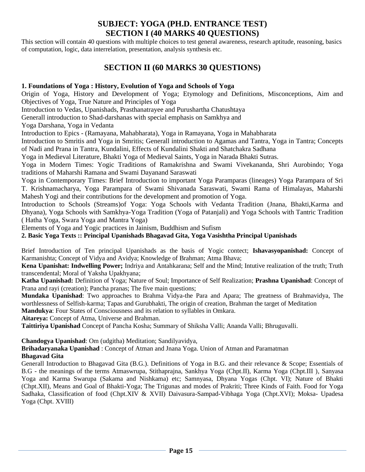# **SUBJECT: YOGA (PH.D. ENTRANCE TEST) SECTION I (40 MARKS 40 QUESTIONS)**

This section will contain 40 questions with multiple choices to test general awareness, research aptitude, reasoning, basics of computation, logic, data interrelation, presentation, analysis synthesis etc.

# **SECTION II (60 MARKS 30 QUESTIONS)**

### **1. Foundations of Yoga : History, Evolution of Yoga and Schools of Yoga**

Origin of Yoga, History and Development of Yoga; Etymology and Definitions, Misconceptions, Aim and Objectives of Yoga, True Nature and Principles of Yoga

Introduction to Vedas, Upanishads, Prasthanatrayee and Purushartha Chatushtaya

Generall introduction to Shad-darshanas with special emphasis on Samkhya and

Yoga Darshana, Yoga in Vedanta

Introduction to Epics - (Ramayana, Mahabharata), Yoga in Ramayana, Yoga in Mahabharata

Introduction to Smritis and Yoga in Smritis; Generall introduction to Agamas and Tantra, Yoga in Tantra; Concepts of Nadi and Prana in Tantra, Kundalini, Effects of Kundalini Shakti and Shatchakra Sadhana

Yoga in Medieval Literature, Bhakti Yoga of Medieval Saints, Yoga in Narada Bhakti Sutras.

Yoga in Modern Times: Yogic Traditions of Ramakrishna and Swami Vivekananda, Shri Aurobindo; Yoga traditions of Maharshi Ramana and Swami Dayanand Saraswati

Yoga in Contemporary Times: Brief Introduction to important Yoga Paramparas (lineages) Yoga Parampara of Sri T. Krishnamacharya, Yoga Parampara of Swami Shivanada Saraswati, Swami Rama of Himalayas, Maharshi Mahesh Yogi and their contributions for the development and promotion of Yoga.

Introduction to Schools (Streams)of Yoga: Yoga Schools with Vedanta Tradition (Jnana, Bhakti,Karma and Dhyana), Yoga Schools with Samkhya-Yoga Tradition (Yoga of Patanjali) and Yoga Schools with Tantric Tradition ( Hatha Yoga, Swara Yoga and Mantra Yoga)

Elements of Yoga and Yogic practices in Jainism, Buddhism and Sufism

**2. Basic Yoga Texts :: Principal Upanishads Bhagavad Gita, Yoga Vasishtha Principal Upanishads** 

Brief Introduction of Ten principal Upanishads as the basis of Yogic contect; **Ishavasyopanishad:** Concept of Karmanishta; Concept of Vidya and Avidya; Knowledge of Brahman; Atma Bhava;

**Kena Upanishat: Indwelling Power;** Indriya and Antahkarana; Self and the Mind; Intutive realization of the truth; Truth transcendental; Moral of Yaksha Upakhyana;

**Katha Upanishad:** Definition of Yoga; Nature of Soul; Importance of Self Realization; **Prashna Upanishad**: Concept of Prana and rayi (creation); Pancha pranas; The five main questions;

**Mundaka Upanishad**: Two approaches to Brahma Vidya-the Para and Apara; The greatness of Brahmavidya, The worthlessness of Selfish-karma; Tapas and Gurubhakti, The origin of creation, Brahman the target of Meditation **Mandukya**: Four States of Consciousness and its relation to syllables in Omkara.

**Aitareya:** Concept of Atma, Universe and Brahman.

**Taittiriya Upanishad** Concept of Pancha Kosha; Summary of Shiksha Valli; Ananda Valli; Bhruguvalli.

**Chandogya Upanishad**: Om (udgitha) Meditation; Sandilyavidya,

**Brihadaryanaka Upanishad** : Concept of Atman and Jnana Yoga. Union of Atman and Paramatman **Bhagavad Gita** 

Generall Introduction to Bhagavad Gita (B.G.). Definitions of Yoga in B.G. and their relevance & Scope; Essentials of B.G - the meanings of the terms Atmaswrupa, Stithaprajna, Sankhya Yoga (Chpt.II), Karma Yoga (Chpt.III ), Sanyasa Yoga and Karma Swarupa (Sakama and Nishkama) etc; Samnyasa, Dhyana Yogas (Chpt. VI); Nature of Bhakti (Chpt.XII), Means and Goal of Bhakti-Yoga; The Trigunas and modes of Prakriti; Three Kinds of Faith. Food for Yoga Sadhaka, Classification of food (Chpt.XIV & XVII) Daivasura-Sampad-Vibhaga Yoga (Chpt.XVI); Moksa- Upadesa Yoga (Chpt. XVIII)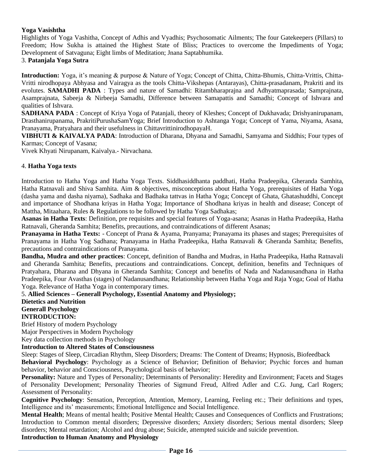### **Yoga Vasishtha**

Highlights of Yoga Vashitha, Concept of Adhis and Vyadhis; Psychosomatic Ailments; The four Gatekeepers (Pillars) to Freedom; How Sukha is attained the Highest State of Bliss; Practices to overcome the Impediments of Yoga; Development of Satvaguna; Eight limbs of Meditation; Jnana Saptabhumika.

### 3. **Patanjala Yoga Sutra**

**Introduction:** Yoga, it's meaning & purpose & Nature of Yoga; Concept of Chitta, Chitta-Bhumis, Chitta-Vrittis, Chitta-Vritti nirodhopaya Abhyasa and Vairagya as the tools Chitta-Vikshepas (Antarayas), Chitta-prasadanam, Prakriti and its evolutes. **SAMADHI PADA** : Types and nature of Samadhi: Ritambharaprajna and Adhyatmaprasada; Samprajnata, Asamprajnata, Sabeeja & Nirbeeja Samadhi, Difference between Samapattis and Samadhi; Concept of Ishvara and qualities of Ishvara.

**SADHANA PADA** : Concept of Kriya Yoga of Patanjali, theory of Kleshes; Concept of Dukhavada; Drishyanirupanam, Drasthanirupanama, PrakritiPurushaSamYoga; Brief Introduction to Ashtanga Yoga; Concept of Yama, Niyama, Asana, Pranayama, Pratyahara and their usefulness in ChittavrittinirodhopayaH.

**VIBHUTI & KAIVALYA PADA**: Introduction of Dharana, Dhyana and Samadhi, Samyama and Siddhis; Four types of Karmas; Concept of Vasana;

Vivek Khyati Nirupanam, Kaivalya.- Nirvachana.

#### 4. **Hatha Yoga texts**

Introduction to Hatha Yoga and Hatha Yoga Texts. Siddhasiddhanta paddhati, Hatha Pradeepika, Gheranda Samhita, Hatha Ratnavali and Shiva Samhita. Aim & objectives, misconceptions about Hatha Yoga, prerequisites of Hatha Yoga (dasha yama and dasha niyama), Sadhaka and Badhaka tattvas in Hatha Yoga; Concept of Ghata, Ghatashuddhi, Concept and importance of Shodhana kriyas in Hatha Yoga; Importance of Shodhana kriyas in health and disease; Concept of Mattha, Mitaahara, Rules & Regulations to be followed by Hatha Yoga Sadhakas;

**Asanas in Hatha Texts**: Definition, pre requisites and special features of Yoga-asana; Asanas in Hatha Pradeepika, Hatha Ratnavali, Gheranda Samhita; Benefits, precautions, and contraindications of different Asanas;

**Pranayama in Hatha Texts:** - Concept of Prana & Ayama, Pranyama; Pranayama its phases and stages; Prerequisites of Pranayama in Hatha Yog Sadhana; Pranayama in Hatha Pradeepika, Hatha Ratnavali & Gheranda Samhita; Benefits, precautions and contraindications of Pranayama.

**Bandha, Mudra and other practices**: Concept, definition of Bandha and Mudras, in Hatha Pradeepika, Hatha Ratnavali and Gheranda Samhita; Benefits, precautions and contraindications. Concept, definition, benefits and Techniques of Pratyahara, Dharana and Dhyana in Gheranda Samhita; Concept and benefits of Nada and Nadanusandhana in Hatha Pradeepika, Four Avasthas (stages) of Nadanusandhana; Relationship between Hatha Yoga and Raja Yoga; Goal of Hatha Yoga. Relevance of Hatha Yoga in contemporary times.

### 5. **Allied Sciences – Generall Psychology, Essential Anatomy and Physiology;**

**Dietetics and Nutrition Generall Psychology** 

### **INTRODUCTION:**

Brief History of modern Psychology Major Perspectives in Modern Psychology

Key data collection methods in Psychology

### **Introduction to Altered States of Consciousness**

Sleep: Stages of Sleep, Circadian Rhythm, Sleep Disorders; Dreams: The Content of Dreams; Hypnosis, Biofeedback

**Behavioral Psychology**: Psychology as a Science of Behavior; Definition of Behavior; Psychic forces and human behavior, behavior and Consciousness, Psychological basis of behavior;

Personality: Nature and Types of Personality; Determinants of Personality: Heredity and Environment; Facets and Stages of Personality Development; Personality Theories of Sigmund Freud, Alfred Adler and C.G. Jung, Carl Rogers; Assessment of Personality:

**Cognitive Psychology**: Sensation, Perception, Attention, Memory, Learning, Feeling etc.; Their definitions and types, Intelligence and its' measurements; Emotional Intelligence and Social Intelligence.

**Mental Health**; Means of mental health; Positive Mental Health; Causes and Consequences of Conflicts and Frustrations; Introduction to Common mental disorders; Depressive disorders; Anxiety disorders; Serious mental disorders; Sleep disorders; Mental retardation; Alcohol and drug abuse; Suicide, attempted suicide and suicide prevention. **Introduction to Human Anatomy and Physiology**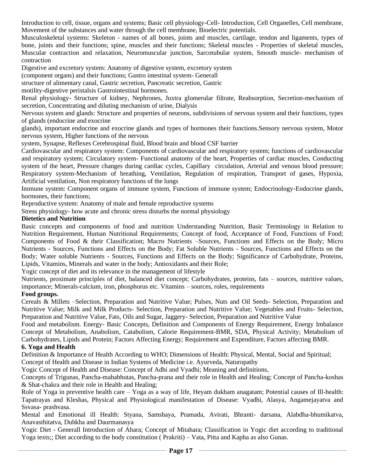Introduction to cell, tissue, organs and systems; Basic cell physiology-Cell- Introduction, Cell Organelles, Cell membrane, Movement of the substances and water through the cell membrane, Bioelectric potentials.

Musculoskeletal systems: Skeleton - names of all bones, joints and muscles, cartilage, tendon and ligaments, types of bone, joints and their functions; spine, muscles and their functions; Skeletal muscles - Properties of skeletal muscles, Muscular contraction and relaxation, Neuromuscular junction, Sarcotubular system, Smooth muscle- mechanism of contraction

Digestive and excretory system: Anatomy of digestive system, excretory system

(component organs) and their functions; Gastro intestinal system- Generall

structure of alimentary canal, Gastric secretion, Pancreatic secretion, Gastric

motility-digestive peristalsis Gastrointestinal hormones.

Renal physiology- Structure of kidney, Nephrones, Juxtra glomerular filtrate, Reabsorption, Secretion-mechanism of secretion, Concentrating and diluting mechanism of urine, Dialysis

Nervous system and glands: Structure and properties of neurons, subdivisions of nervous system and their functions, types of glands (endocrine and exocrine

glands), important endocrine and exocrine glands and types of hormones their functions.Sensory nervous system, Motor nervous system, Higher functions of the nervous

system, Synapse, Reflexes Cerebrospinal fluid, Blood brain and blood CSF barrier

Cardiovascular and respiratory system: Components of cardiovascular and respiratory system; functions of cardiovascular and respiratory system; Circulatory system- Functional anatomy of the heart, Properties of cardiac muscles, Conducting system of the heart, Pressure changes during cardiac cycles, Capillary circulation, Arterial and venous blood pressure; Respiratory system-Mechanism of breathing, Ventilation, Regulation of respiration, Transport of gases, Hypoxia, Artificial ventilation, Non respiratory functions of the lungs

Immune system: Component organs of immune system, Functions of immune system; Endocrinology-Endocrine glands, hormones, their functions;

Reproductive system: Anatomy of male and female reproductive systems

Stress physiology- how acute and chronic stress disturbs the normal physiology

#### **Dietetics and Nutrition**

Basic concepts and components of food and nutrition Understanding Nutrition, Basic Terminology in Relation to Nutrition Requirement, Human Nutritional Requirements; Concept of food, Acceptance of Food, Functions of Food; Components of Food & their Classification; Macro Nutrients –Sources, Functions and Effects on the Body; Micro Nutrients - Sources, Functions and Effects on the Body; Fat Soluble Nutrients - Sources, Functions and Effects on the Body; Water soluble Nutrients - Sources, Functions and Effects on the Body; Significance of Carbohydrate, Proteins, Lipids, Vitamins, Minerals and water in the body; Antioxidants and their Role;

Yogic concept of diet and its relevance in the management of lifestyle

Nutrients, proximate principles of diet, balanced diet concept; Carbohydrates, proteins, fats – sources, nutritive values, importance; Minerals-calcium, iron, phosphorus etc. Vitamins – sources, roles, requirements

#### **Food groups.**

Cereals & Millets –Selection, Preparation and Nutritive Value; Pulses, Nuts and Oil Seeds- Selection, Preparation and Nutritive Value; Milk and Milk Products- Selection, Preparation and Nutritive Value; Vegetables and Fruits- Selection, Preparation and Nutritive Value, Fats, Oils and Sugar, Jaggery- Selection, Preparation and Nutritive Value

Food and metabolism. Energy- Basic Concepts, Definition and Components of Energy Requirement, Energy Imbalance Concept of Metabolism, Anabolism, Catabolism, Calorie Requirement-BMR, SDA, Physical Activity; Metabolism of Carbohydrates, Lipids and Protein; Factors Affecting Energy; Requirement and Expenditure, Factors affecting BMR.

#### **6. Yoga and Health**

Definition & Importance of Health According to WHO; Dimensions of Health: Physical, Mental, Social and Spiritual;

Concept of Health and Disease in Indian Systems of Medicine i.e. Ayurveda, Naturopathy

Yogic Concept of Health and Disease: Concept of Adhi and Vyadhi; Meaning and definitions,

Concepts of Trigunas, Pancha-mahabhutas, Pancha-prana and their role in Health and Healing; Concept of Pancha-koshas & Shat-chakra and their role in Health and Healing;

Role of Yoga in preventive health care – Yoga as a way of life, Heyam dukham anagatam; Potential causes of Ill-health: Tapatrayas and Kleshas, Physical and Physiological manifestation of Disease: Vyadhi, Alasya, Angamejayatva and Ssvasa- prashvasa.

Mental and Emotional ill Health: Styana, Samshaya, Pramada, Avirati, Bhranti- darsana, Alabdha-bhumikatva, Anavasthitatva, Duhkha and Daurmanasya

Yogic Diet - Generall Introduction of Ahara; Concept of Mitahara; Classification in Yogic diet according to traditional Yoga texts;; Diet according to the body constitution ( Prakriti) – Vata, Pitta and Kapha as also Gunas.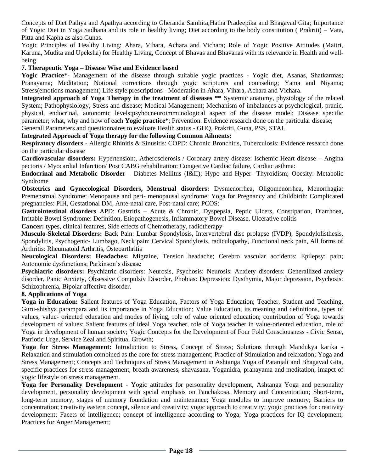Concepts of Diet Pathya and Apathya according to Gheranda Samhita,Hatha Pradeepika and Bhagavad Gita; Importance of Yogic Diet in Yoga Sadhana and its role in healthy living; Diet according to the body constitution ( Prakriti) – Vata, Pitta and Kapha as also Gunas.

Yogic Principles of Healthy Living: Ahara, Vihara, Achara and Vichara; Role of Yogic Positive Attitudes (Maitri, Karuna, Mudita and Upeksha) for Healthy Living, Concept of Bhavas and Bhavanas with its relevance in Health and wellbeing

#### **7. Therapeutic Yoga – Disease Wise and Evidence based**

**Yogic Practice**\*- Management of the disease through suitable yogic practices - Yogic diet, Asanas, Shatkarmas; Pranayama; Meditation; Notional corrections through yogic scriptures and counseling; Yama and Niyama; Stress(emotions management) Life style prescriptions - Moderation in Ahara, Vihara, Achara and Vichara.

**Integrated approach of Yoga Therapy in the treatment of diseases \*\*** Systemic anatomy, physiology of the related System; Pathophysiology, Stress and disease; Medical Management; Mechanism of imbalances at psychological, pranic, physical, endocrinal, autonomic levels;psyhocneuroimmunological aspect of the disease model; Disease specific parameter; what, why and how of each **Yogic practice**\*; Prevention. Evidence research done on the particular disease;

Generall Parameters and questionnaires to evaluate Health status - GHQ, Prakriti, Guna, PSS, STAI.

#### **Integrated Approach of Yoga therapy for the following Common Ailments:**

**Respiratory disorders** - Allergic Rhinitis & Sinusitis: COPD: Chronic Bronchitis, Tuberculosis: Evidence research done on the particular disease

**Cardiovascular disorders:** Hypertension:, Atherosclerosis / Coronary artery disease: Ischemic Heart disease – Angina pectoris / Myocardial Infarction/ Post CABG rehabilitation: Congestive Cardiac failure, Cardiac asthma:

**Endocrinal and Metabolic Disorder -** Diabetes Mellitus (I&II); Hypo and Hyper- Thyroidism; Obesity: Metabolic Syndrome

**Obstetrics and Gynecological Disorders, Menstrual disorders:** Dysmenorrhea, Oligomenorrhea, Menorrhagia: Premenstrual Syndrome: Menopause and peri- menopausal syndrome: Yoga for Pregnancy and Childbirth: Complicated pregnancies: PIH, Gestational DM, Ante-natal care, Post-natal care; PCOS:

**Gastrointestinal disorders** APD: Gastritis – Acute & Chronic, Dyspepsia, Peptic Ulcers, Constipation, Diarrhoea, Irritable Bowel Syndrome: Definition, Etiopathogenesis, Inflammatory Bowel Disease, Ulcerative colitis

**Cancer:** types, clinical features, Side effects of Chemotherapy, radiotherapy

**Musculo-Skeletal Disorders:** Back Pain: Lumbar Spondylosis, Intervertebral disc prolapse (IVDP), Spondylolisthesis, Spondylitis, Psychogenic- Lumbago, Neck pain: Cervical Spondylosis, radiculopathy, Functional neck pain, All forms of Arthritis: Rheumatoid Arthritis, Osteoarthritis

**Neurological Disorders: Headaches:** Migraine, Tension headache; Cerebro vascular accidents: Epilepsy; pain; Autonomic dysfunctions; Parkinson's disease

**Psychiatric disorders:** Psychiatric disorders: Neurosis, Psychosis: Neurosis: Anxiety disorders: Generallized anxiety disorder, Panic Anxiety, Obsessive Compulsiv Disorder, Phobias: Depression: Dysthymia, Major depression, Psychosis: Schizophrenia, Bipolar affective disorder.

#### **8. Applications of Yoga**

**Yoga in Education:** Salient features of Yoga Education, Factors of Yoga Education; Teacher, Student and Teaching, Guru-shishya parampara and its importance in Yoga Education; Value Education, its meaning and definitions, types of values, value- oriented education and modes of living, role of value oriented education; contribution of Yoga towards development of values; Salient features of ideal Yoga teacher, role of Yoga teacher in value-oriented education, role of Yoga in development of human society; Yogic Concepts for the Development of Four Fold Consciousness - Civic Sense, Patriotic Urge, Service Zeal and Spiritual Growth;

**Yoga for Stress Management:** Introduction to Stress, Concept of Stress; Solutions through Mandukya karika - Relaxation and stimulation combined as the core for stress management; Practice of Stimulation and relaxation; Yoga and Stress Management; Concepts and Techniques of Stress Management in Ashtanga Yoga of Patanjali and Bhagavad Gita, specific practices for stress management, breath awareness, shavasana, Yoganidra, pranayama and meditation, imapct of yogic lifestyle on stress management.

**Yoga for Personality Development -** Yogic attitudes for personality development, Ashtanga Yoga and personality development, personality development with spcial emphasis on Panchakosa. Memory and Concentration; Short-term, long-term memory, stages of memory foundation and maintenance; Yoga modules to improve memory; Barriers to concentration; creativity eastern concept, silence and creativity; yogic approach to creativity; yogic practices for creativity development; Facets of intelligence; concept of intelligence according to Yoga; Yoga practices for IQ development; Practices for Anger Management;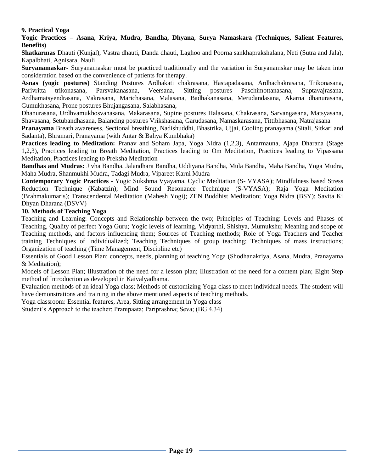### **9. Practical Yoga**

#### **Yogic Practices – Asana, Kriya, Mudra, Bandha, Dhyana, Surya Namaskara (Techniques, Salient Features, Benefits)**

**Shatkarmas** Dhauti (Kunjal), Vastra dhauti, Danda dhauti, Laghoo and Poorna sankhaprakshalana, Neti (Sutra and Jala), Kapalbhati, Agnisara, Nauli

**Suryanamaskar-** Suryanamaskar must be practiced traditionally and the variation in Suryanamskar may be taken into consideration based on the convenience of patients for therapy.

**Asnas (yogic postures)** Standing Postures Ardhakati chakrasana, Hastapadasana, Ardhachakrasana, Trikonasana, Parivritta trikonasana, Parsvakanasana, Veersana, Sitting postures Paschimottanasana, Suptavajrasana, Ardhamatsyendrasana, Vakrasana, Marichasana, Malasana, Badhakanasana, Merudandasana, Akarna dhanurasana, Gumukhasana, Prone postures Bhujangasana, Salabhasana,

Dhanurasana, Urdhvamukhosvanasana, Makarasana, Supine postures Halasana, Chakrasana, Sarvangasana, Matsyasana, Shavasana, Setubandhasana, Balancing postures Vrikshasana, Garudasana, Namaskarasana, Tittibhasana, Natrajasana

**Pranayama** Breath awareness, Sectional breathing, Nadishuddhi, Bhastrika, Ujjai, Cooling pranayama (Sitali, Sitkari and Sadanta), Bhramari, Pranayama (with Antar & Bahya Kumbhaka)

**Practices leading to Meditation:** Pranav and Soham Japa, Yoga Nidra (1,2,3), Antarmauna, Ajapa Dharana (Stage 1,2,3), Practices leading to Breath Meditation, Practices leading to Om Meditation, Practices leading to Vipassana Meditation, Practices leading to Preksha Meditation

**Bandhas and Mudras:** Jivha Bandha, Jalandhara Bandha, Uddiyana Bandha, Mula Bandha, Maha Bandha, Yoga Mudra, Maha Mudra, Shanmukhi Mudra, Tadagi Mudra, Vipareet Karni Mudra

**Contemporary Yogic Practices -** Yogic Sukshma Vyayama, Cyclic Meditation (S- VYASA); Mindfulness based Stress Reduction Technique (Kabatzin); Mind Sound Resonance Technique (S-VYASA); Raja Yoga Meditation (Brahmakumaris); Transcendental Meditation (Mahesh Yogi); ZEN Buddhist Meditation; Yoga Nidra (BSY); Savita Ki Dhyan Dharana (DSVV)

#### **10. Methods of Teaching Yoga**

Teaching and Learning: Concepts and Relationship between the two; Principles of Teaching: Levels and Phases of Teaching, Quality of perfect Yoga Guru; Yogic levels of learning, Vidyarthi, Shishya, Mumukshu; Meaning and scope of Teaching methods, and factors influencing them; Sources of Teaching methods; Role of Yoga Teachers and Teacher training Techniques of Individualized; Teaching Techniques of group teaching; Techniques of mass instructions; Organization of teaching (Time Management, Discipline etc)

Essentials of Good Lesson Plan: concepts, needs, planning of teaching Yoga (Shodhanakriya, Asana, Mudra, Pranayama & Meditation);

Models of Lesson Plan; Illustration of the need for a lesson plan; Illustration of the need for a content plan; Eight Step method of Introduction as developed in Kaivalyadhama.

Evaluation methods of an ideal Yoga class; Methods of customizing Yoga class to meet individual needs. The student will have demonstrations and training in the above mentioned aspects of teaching methods.

Yoga classroom: Essential features, Area, Sitting arrangement in Yoga class

Student's Approach to the teacher: Pranipaata; Pariprashna; Seva; (BG 4.34)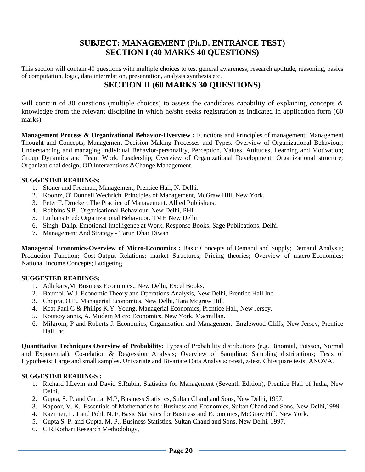# **SUBJECT: MANAGEMENT (Ph.D. ENTRANCE TEST) SECTION I (40 MARKS 40 QUESTIONS)**

This section will contain 40 questions with multiple choices to test general awareness, research aptitude, reasoning, basics of computation, logic, data interrelation, presentation, analysis synthesis etc.

# **SECTION II (60 MARKS 30 QUESTIONS)**

will contain of 30 questions (multiple choices) to assess the candidates capability of explaining concepts  $\&$ knowledge from the relevant discipline in which he/she seeks registration as indicated in application form (60 marks)

**Management Process & Organizational Behavior-Overview :** Functions and Principles of management; Management Thought and Concepts; Management Decision Making Processes and Types. Overview of Organizational Behaviour; Understanding and managing Individual Behavior-personality, Perception, Values, Attitudes, Learning and Motivation; Group Dynamics and Team Work. Leadership; Overview of Organizational Development: Organizational structure; Organizational design; OD Interventions &Change Management.

### **SUGGESTED READINGS:**

- 1. Stoner and Freeman, Management, Prentice Hall, N. Delhi.
- 2. Koontz, O' Donnell Wechrich, Principles of Management, McGraw Hill, New York.
- 3. Peter F. Drucker, The Practice of Management, Allied Publishers.
- 4. Robbins S.P., Organisational Behaviour, New Delhi, PHI.
- 5. Luthans Fred: Organizational Behaviuor, TMH New Delhi
- 6. Singh, Dalip, Emotional Intelligence at Work, Response Books, Sage Publications, Delhi.
- 7. Management And Strategy Tarun Dhar Diwan

**Managerial Economics-Overview of Micro-Economics :** Basic Concepts of Demand and Supply; Demand Analysis; Production Function; Cost-Output Relations; market Structures; Pricing theories; Overview of macro-Economics; National Income Concepts; Budgeting.

### **SUGGESTED READINGS:**

- 1. Adhikary,M. Business Economics., New Delhi, Excel Books.
- 2. Baumol, W.J. Economic Theory and Operations Analysis, New Delhi, Prentice Hall Inc.
- 3. Chopra, O.P., Managerial Economics, New Delhi, Tata Mcgraw Hill.
- 4. Keat Paul G & Philips K.Y. Young, Managerial Economics, Prentice Hall, New Jersey.
- 5. Koutsoyiannis, A. Modern Micro Economics, New York, Macmillan.
- 6. Milgrom, P and Roberts J. Economics, Organisation and Management. Englewood Cliffs, New Jersey, Prentice Hall Inc.

**Quantitative Techniques Overview of Probability:** Types of Probability distributions (e.g. Binomial, Poisson, Normal and Exponential). Co-relation & Regression Analysis; Overview of Sampling: Sampling distributions; Tests of Hypothesis; Large and small samples. Univariate and Bivariate Data Analysis: t-test, z-test, Chi-square tests; ANOVA.

#### **SUGGESTED READINGS :**

- 1. Richard I.Levin and David S.Rubin, Statistics for Management (Seventh Edition), Prentice Hall of India, New Delhi.
- 2. Gupta, S. P. and Gupta, M.P, Business Statistics, Sultan Chand and Sons, New Delhi, 1997.
- 3. Kapoor, V. K., Essentials of Mathematics for Business and Economics, Sultan Chand and Sons, New Delhi,1999.
- 4. Kazmier, L. J and Pohl, N. F, Basic Statistics for Business and Economics, McGraw Hill, New York.
- 5. Gupta S. P. and Gupta, M. P., Business Statistics, Sultan Chand and Sons, New Delhi, 1997.
- 6. C.R.Kothari Research Methodology,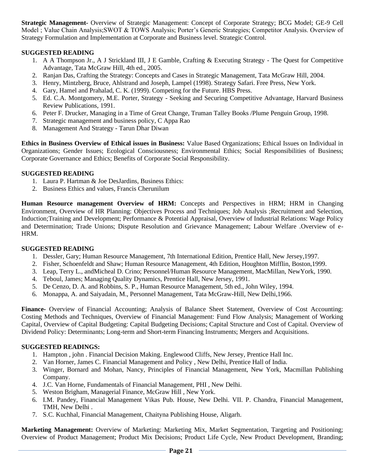**Strategic Management-** Overview of Strategic Management: Concept of Corporate Strategy; BCG Model; GE-9 Cell Model ; Value Chain Analysis;SWOT & TOWS Analysis; Porter's Generic Strategies; Competitor Analysis. Overview of Strategy Formulation and Implementation at Corporate and Business level. Strategic Control.

### **SUGGESTED READING**

- 1. A A Thompson Jr., A J Strickland III, J E Gamble, Crafting & Executing Strategy The Quest for Competitive Advantage, Tata McGraw Hill, 4th ed., 2005.
- 2. Ranjan Das, Crafting the Strategy: Concepts and Cases in Strategic Management, Tata McGraw Hill, 2004.
- 3. Henry, Mintzberg, Bruce, Ahlstrand and Joseph, Lampel (1998). Strategy Safari. Free Press, New York.
- 4. Gary, Hamel and Prahalad, C. K. (1999). Competing for the Future. HBS Press.
- 5. Ed. C.A. Montgomery, M.E. Porter, Strategy Seeking and Securing Competitive Advantage, Harvard Business Review Publications, 1991.
- 6. Peter F. Drucker, Managing in a Time of Great Change, Truman Talley Books /Plume Penguin Group, 1998.
- 7. Strategic management and business policy, C Appa Rao
- 8. Management And Strategy Tarun Dhar Diwan

**Ethics in Business Overview of Ethical issues in Business:** Value Based Organizations; Ethical Issues on Individual in Organizations; Gender Issues; Ecological Consciousness; Environmental Ethics; Social Responsibilities of Business; Corporate Governance and Ethics; Benefits of Corporate Social Responsibility.

#### **SUGGESTED READING**

- 1. Laura P. Hartman & Joe DesJardins, Business Ethics:
- 2. Business Ethics and values, Francis Cherunilum

**Human Resource management Overview of HRM:** Concepts and Perspectives in HRM; HRM in Changing Environment, Overview of HR Planning: Objectives Process and Techniques; Job Analysis ;Recruitment and Selection, Induction;Training and Development; Performance & Potential Appraisal, Overview of Industrial Relations: Wage Policy and Determination; Trade Unions; Dispute Resolution and Grievance Management; Labour Welfare .Overview of e-HRM.

#### **SUGGESTED READING**

- 1. Dessler, Gary; Human Resource Management, 7th International Edition, Prentice Hall, New Jersey,1997.
- 2. Fisher, Schoenfeldt and Shaw; Human Resource Management, 4th Edition, Houghton Mifflin, Boston,1999.
- 3. Leap, Terry L., andMicheal D. Crino; Personnel/Human Resource Management, MacMillan, NewYork, 1990.
- 4. Teboul, James; Managing Quality Dynamics, Prentice Hall, New Jersey, 1991.
- 5. De Cenzo, D. A. and Robbins, S. P., Human Resource Management, 5th ed., John Wiley, 1994.
- 6. Monappa, A. and Saiyadain, M., Personnel Management, Tata McGraw-Hill, New Delhi,1966.

**Finance-** Overview of Financial Accounting; Analysis of Balance Sheet Statement, Overview of Cost Accounting: Costing Methods and Techniques, Overview of Financial Management: Fund Flow Analysis; Management of Working Capital, Overview of Capital Budgeting: Capital Budgeting Decisions; Capital Structure and Cost of Capital. Overview of Dividend Policy: Determinants; Long-term and Short-term Financing Instruments; Mergers and Acquisitions.

#### **SUGGESTED READINGS:**

- 1. Hampton , john . Financial Decision Making. Englewood Cliffs, New Jersey, Prentice Hall Inc.
- 2. Van Horner, James C. Financial Management and Policy , New Delhi, Prentice Hall of India.
- 3. Winger, Bornard and Mohan, Nancy, Principles of Financial Management, New York, Macmillan Publishing Company.
- 4. J.C. Van Horne, Fundamentals of Financial Management, PHI , New Delhi.
- 5. Weston Brigham, Managerial Finance, McGraw Hill , New York.
- 6. I.M. Pandey, Financial Management Vikas Pub. House, New Delhi. VII. P. Chandra, Financial Management, TMH, New Delhi .
- 7. S.C. Kuchhal, Financial Management, Chaityna Publishing House, Aligarh.

**Marketing Management:** Overview of Marketing: Marketing Mix, Market Segmentation, Targeting and Positioning; Overview of Product Management; Product Mix Decisions; Product Life Cycle, New Product Development, Branding;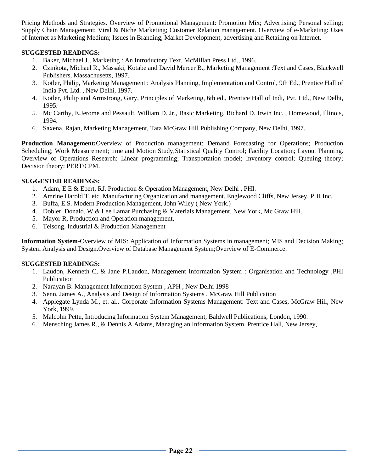Pricing Methods and Strategies. Overview of Promotional Management: Promotion Mix; Advertising; Personal selling; Supply Chain Management; Viral & Niche Marketing; Customer Relation management. Overview of e-Marketing: Uses of Internet as Marketing Medium; Issues in Branding, Market Development, advertising and Retailing on Internet.

### **SUGGESTED READINGS:**

- 1. Baker, Michael J., Marketing : An Introductory Text, McMillan Press Ltd., 1996.
- 2. Czinkota, Michael R., Massaki, Kotabe and David Mercer B., Marketing Management :Text and Cases, Blackwell Publishers, Massachusetts, 1997.
- 3. Kotler, Philip, Marketing Management : Analysis Planning, Implementation and Control, 9th Ed., Prentice Hall of India Pvt. Ltd. , New Delhi, 1997.
- 4. Kotler, Philip and Armstrong, Gary, Principles of Marketing, 6th ed., Prentice Hall of Indi, Pvt. Ltd., New Delhi, 1995.
- 5. Mc Carthy, E.Jerome and Pessault, William D. Jr., Basic Marketing, Richard D. Irwin Inc. , Homewood, Illinois, 1994.
- 6. Saxena, Rajan, Marketing Management, Tata McGraw Hill Publishing Company, New Delhi, 1997.

**Production Management:**Overview of Production management: Demand Forecasting for Operations; Production Scheduling; Work Measurement; time and Motion Study;Statistical Quality Control; Facility Location; Layout Planning. Overview of Operations Research: Linear programming; Transportation model; Inventory control; Queuing theory; Decision theory; PERT/CPM.

#### **SUGGESTED READINGS:**

- 1. Adam, E E & Ebert, RJ. Production & Operation Management, New Delhi , PHI.
- 2. Amrine Harold T. etc. Manufacturing Organization and management. Englewood Cliffs, New Jersey, PHI Inc.
- 3. Buffa, E.S. Modern Production Management, John Wiley ( New York.)
- 4. Dobler, Donald. W & Lee Lamar Purchasing & Materials Management, New York, Mc Graw Hill.
- 5. Mayor R, Production and Operation management,
- 6. Telsong, Industrial & Production Management

**Information System-**Overview of MIS: Application of Information Systems in management; MIS and Decision Making; System Analysis and Design.Overview of Database Management System;Overview of E-Commerce:

### **SUGGESTED READINGS:**

- 1. Laudon, Kenneth C, & Jane P.Laudon, Management Information System : Organisation and Technology ,PHI Publication
- 2. Narayan B. Management Information System , APH , New Delhi 1998
- 3. Senn, James A., Analysis and Design of Information Systems , McGraw Hill Publication
- 4. Applegate Lynda M., et. al., Corporate Information Systems Management: Text and Cases, McGraw Hill, New York, 1999.
- 5. Malcolm Pettu, Introducing Information System Management, Baldwell Publications, London, 1990.
- 6. Mensching James R., & Dennis A.Adams, Managing an Information System, Prentice Hall, New Jersey,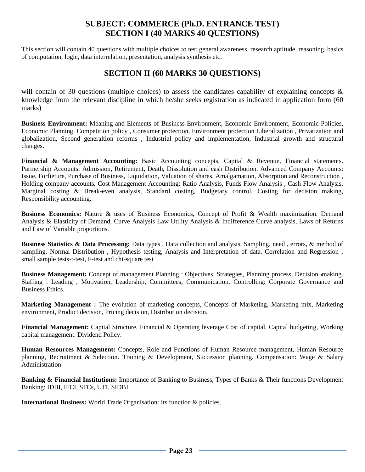# **SUBJECT: COMMERCE (Ph.D. ENTRANCE TEST) SECTION I (40 MARKS 40 QUESTIONS)**

This section will contain 40 questions with multiple choices to test general awareness, research aptitude, reasoning, basics of computation, logic, data interrelation, presentation, analysis synthesis etc.

# **SECTION II (60 MARKS 30 QUESTIONS)**

will contain of 30 questions (multiple choices) to assess the candidates capability of explaining concepts & knowledge from the relevant discipline in which he/she seeks registration as indicated in application form (60 marks)

**Business Environment:** Meaning and Elements of Business Environment, Economic Environment, Economic Policies, Economic Planning. Competition policy , Consumer protection, Environment protection Liberalization , Privatization and globalization, Second generaltion reforms , Industrial policy and implementation, Industrial growth and structural changes.

**Financial & Management Accounting:** Basic Accounting concepts, Capital & Revenue, Financial statements. Partnership Accounts: Admission, Retirement, Death, Dissolution and cash Distribution. Advanced Company Accounts: Issue, Forfieture, Purchase of Business, Liquidation, Valuation of shares, Amalgamation, Absorption and Reconstruction , Holding company accounts. Cost Management Accounting: Ratio Analysis, Funds Flow Analysis , Cash Flow Analysis, Marginal costing & Break-even analysis, Standard costing, Budgetary control, Costing for decision making, Responsibility accounting.

**Business Economics:** Nature & uses of Business Economics, Concept of Profit & Wealth maximization. Demand Analysis & Elasticity of Demand, Curve Analysis Law Utility Analysis & Indifference Curve analysis, Laws of Returns and Law of Variable proportions.

**Business Statistics & Data Processing:** Data types , Data collection and analysis, Sampling, need , errors, & method of sampling, Normal Distribution , Hypothesis testing, Analysis and Interpretation of data. Correlation and Regression , small sample tests-t-test, F-test and chi-square test

**Business Management:** Concept of management Planning : Objectives, Strategies, Planning process, Decision¬making. Staffing : Leading , Motivation, Leadership, Committees, Communication. Controlling: Corporate Governance and Business Ethics.

**Marketing Management :** The evolution of marketing concepts, Concepts of Marketing, Marketing mix, Marketing environment, Product decision, Pricing decision, Distribution decision.

**Financial Management:** Capital Structure, Financial & Operating leverage Cost of capital, Capital budgeting, Working capital management. Dividend Policy.

**Human Resources Management:** Concepts, Role and Functions of Human Resource management, Human Resource planning, Recruitment & Selection. Training & Development, Succession planning. Compensation: Wage & Salary Administration

**Banking & Financial Institutions:** Importance of Banking to Business, Types of Banks & Their functions Development Banking: IDBI, IFCI, SFCs, UTI, SIDBI.

**International Business:** World Trade Organisation: Its function & policies.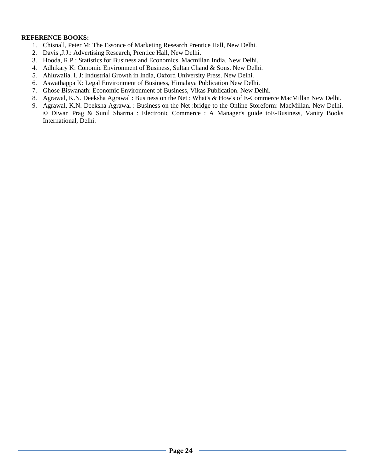#### **REFERENCE BOOKS:**

- 1. Chisnall, Peter M: The Essonce of Marketing Research Prentice Hall, New Delhi.
- 2. Davis ,J.J.: Advertising Research, Prentice Hall, New Delhi.
- 3. Hooda, R.P.: Statistics for Business and Economics. Macmillan India, New Delhi.
- 4. Adhikary K: Conomic Environment of Business, Sultan Chand & Sons. New Delhi.
- 5. Ahluwalia. I. J: Industrial Growth in India, Oxford University Press. New Delhi.
- 6. Aswathappa K: Legal Environment of Business, Himalaya Publication New Delhi.
- 7. Ghose Biswanath: Economic Environment of Business, Vikas Publication. New Delhi.
- 8. Agrawal, K.N. Deeksha Agrawal : Business on the Net : What's & How's of E-Commerce MacMillan New Delhi.
- 9. Agrawal, K.N. Deeksha Agrawal : Business on the Net :bridge to the Online Storeform: MacMillan. New Delhi. © Diwan Prag & Sunil Sharma : Electronic Commerce : A Manager's guide toE-Business, Vanity Books International, Delhi.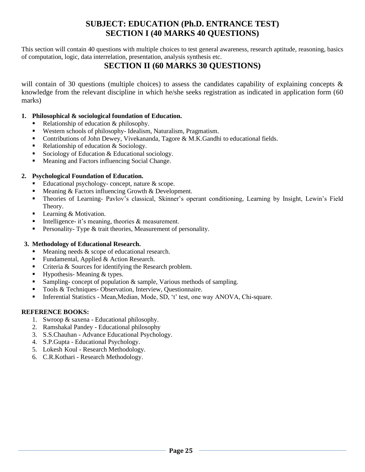# **SUBJECT: EDUCATION (Ph.D. ENTRANCE TEST) SECTION I (40 MARKS 40 QUESTIONS)**

This section will contain 40 questions with multiple choices to test general awareness, research aptitude, reasoning, basics of computation, logic, data interrelation, presentation, analysis synthesis etc.

# **SECTION II (60 MARKS 30 QUESTIONS)**

will contain of 30 questions (multiple choices) to assess the candidates capability of explaining concepts & knowledge from the relevant discipline in which he/she seeks registration as indicated in application form (60 marks)

### **1. Philosophical & sociological foundation of Education.**

- Relationship of education  $&$  philosophy.
- Western schools of philosophy- Idealism, Naturalism, Pragmatism.
- Contributions of John Dewey, Vivekananda, Tagore & M.K.Gandhi to educational fields.
- Relationship of education & Sociology.
- Sociology of Education & Educational sociology.
- Meaning and Factors influencing Social Change.

### **2. Psychological Foundation of Education.**

- Educational psychology- concept, nature  $\&$  scope.
- Meaning & Factors influencing Growth & Development.
- Theories of Learning- Pavlov's classical, Skinner's operant conditioning, Learning by Insight, Lewin's Field Theory.
- Learning & Motivation.
- Intelligence- it's meaning, theories  $\&$  measurement.
- **•** Personality-Type & trait theories, Measurement of personality.

### **3. Methodology of Educational Research.**

- Meaning needs  $&$  scope of educational research.
- Fundamental, Applied & Action Research.
- Criteria  $&$  Sources for identifying the Research problem.
- Hypothesis- Meaning  $&$  types.
- Sampling- concept of population & sample, Various methods of sampling.
- Tools & Techniques- Observation, Interview, Questionnaire.
- **•** Inferential Statistics Mean, Median, Mode, SD, 't' test, one way ANOVA, Chi-square.

### **REFERENCE BOOKS:**

- 1. Swroop & saxena Educational philosophy.
- 2. Ramshakal Pandey Educational philosophy
- 3. S.S.Chauhan Advance Educational Psychology.
- 4. S.P.Gupta Educational Psychology.
- 5. Lokesh Koul Research Methodology.
- 6. C.R.Kothari Research Methodology.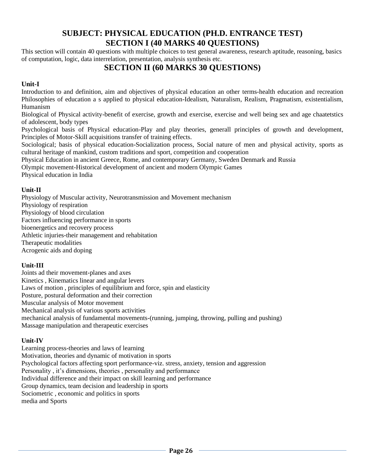# **SUBJECT: PHYSICAL EDUCATION (PH.D. ENTRANCE TEST) SECTION I (40 MARKS 40 QUESTIONS)**

This section will contain 40 questions with multiple choices to test general awareness, research aptitude, reasoning, basics of computation, logic, data interrelation, presentation, analysis synthesis etc.

# **SECTION II (60 MARKS 30 QUESTIONS)**

### **Unit-I**

Introduction to and definition, aim and objectives of physical education an other terms-health education and recreation Philosophies of education a s applied to physical education-Idealism, Naturalism, Realism, Pragmatism, existentialism, Humanism

Biological of Physical activity-benefit of exercise, growth and exercise, exercise and well being sex and age chaatetstics of adolescent, body types

Psychological basis of Physical education-Play and play theories, generall principles of growth and development, Principles of Motor-Skill acquisitions transfer of training effects.

Sociological; basis of physical education-Socialization process, Social nature of men and physical activity, sports as cultural heritage of mankind, custom traditions and sport, competition and cooperation

Physical Education in ancient Greece, Rome, and contemporary Germany, Sweden Denmark and Russia

Olympic movement-Historical development of ancient and modern Olympic Games

Physical education in India

### **Unit-II**

Physiology of Muscular activity, Neurotransmission and Movement mechanism Physiology of respiration Physiology of blood circulation Factors influencing performance in sports bioenergetics and recovery process Athletic injuries-their management and rehabitation Therapeutic modalities Acrogenic aids and doping

### **Unit-III**

Joints ad their movement-planes and axes Kinetics , Kinematics linear and angular levers Laws of motion , principles of equilibrium and force, spin and elasticity Posture, postural deformation and their correction Muscular analysis of Motor movement Mechanical analysis of various sports activities mechanical analysis of fundamental movements-(running, jumping, throwing, pulling and pushing) Massage manipulation and therapeutic exercises

### **Unit-IV**

Learning process-theories and laws of learning Motivation, theories and dynamic of motivation in sports Psychological factors affecting sport performance-viz. stress, anxiety, tension and aggression Personality, it's dimensions, theories, personality and performance Individual difference and their impact on skill learning and performance Group dynamics, team decision and leadership in sports Sociometric , economic and politics in sports media and Sports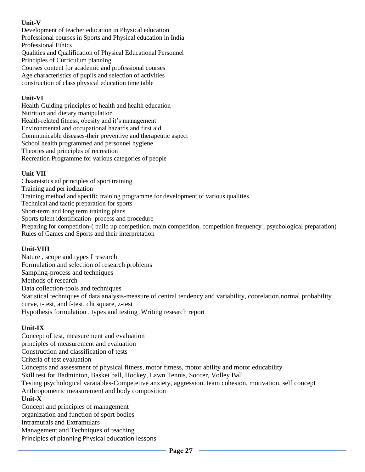### **Unit-V**

Development of teacher education in Physical education Professional courses in Sports and Physical education in India Professional Ethics Qualities and Qualification of Physical Educational Personnel Principles of Curriculum planning Courses content for academic and professional courses Age characteristics of pupils and selection of activities construction of class physical education time table

### **Unit-VI**

Health-Guiding principles of health and health education Nutrition and dietary manipulation Health-related fitness, obesity and it's management Environmental and occupational hazards and first aid Communicable diseases-their preventive and therapeutic aspect School health programmed and personnel hygiene Theories and principles of recreation Recreation Programme for various categories of people

### **Unit-VII**

Chaatetstics ad principles of sport training Training and per iodization Training method and specific training programme for development of various qualities Technical and tactic preparation for sports Short-term and long term training plans Sports talent identification -process and procedure Preparing for competition-( build up competition, main competition, competition frequency, psychological preparation) Rules of Games and Sports and their interpretation

### **Unit-VIII**

Nature , scope and types f research Formulation and selection of research problems Sampling-process and techniques Methods of research Data collection-tools and techniques Statistical techniques of data analysis-measure of central tendency and variability, coorelation,normal probability curve, t-test, and f-test, chi square, z-test Hypothesis formulation , types and testing ,Writing research report

### **Unit-IX**

Concept of test, measurement and evaluation principles of measurement and evaluation Construction and classification of tests Criteria of test evaluation Concepts and assessment of physical fitness, motor fitness, motor ability and motor educability Skill test for Badminton, Basket ball, Hockey, Lawn Tennis, Soccer, Volley Ball Testing psychological varaiables-Competetive anxiety, aggression, team cohesion, motivation, self concept Anthropometric measurement and body composition **Unit-X**  Concept and principles of management organization and function of sport bodies Intramurals and Extramulars Management and Techniques of teaching

Principles of planning Physical education lessons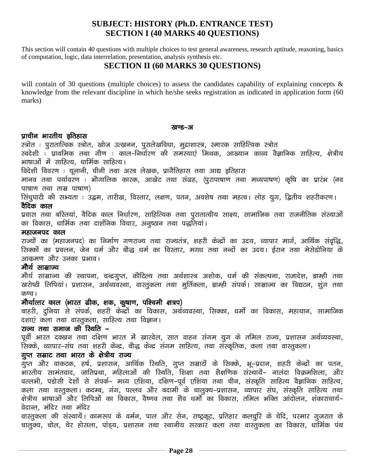# **SUBJECT: HISTORY (Ph.D. ENTRANCE TEST) SECTION I (40 MARKS 40 QUESTIONS)**

This section will contain 40 questions with multiple choices to test general awareness, research aptitude, reasoning, basics of computation, logic, data interrelation, presentation, analysis synthesis etc.

# **SECTION II (60 MARKS 30 QUESTIONS)**

will contain of 30 questions (multiple choices) to assess the candidates capability of explaining concepts & knowledge from the relevant discipline in which he/she seeks registration as indicated in application form (60 marks)

#### रतण्ड-अ

### प्राचीन भारतीय इतिहास

स्त्रोत : पुरातात्विक स्त्रोत, खोज उत्खनन, पुरालेखविधा, मुद्राशास्त्र, स्मारक साहित्यिक स्त्रोत

रवदेशी : प्राथमिक तथा गौण : काल-निर्धारण की समस्याएं मिथक, आख्यान काव्य वैज्ञानिक साहित्य, क्षेत्रीय भाषाओं में साहित्य, धार्मिक साहित्य।

विदेशी विवरण : यूनानी, चीनी तथा अरब लेखक, प्रागैतिहास तथा आद्य इतिहास

मानव तथा पर्यावरण : भौगालिक कारक, आखेट तथा संग्रह, (पुरापाषाण तथा मध्यपाषण) कृषि का प्रारंभ (नव  $\frac{1}{\sqrt{1-\frac{1}{\sqrt{1-\frac{1}{\sqrt{1-\frac{1}{\sqrt{1-\frac{1}{\sqrt{1-\frac{1}{\sqrt{1-\frac{1}{\sqrt{1-\frac{1}{\sqrt{1-\frac{1}{\sqrt{1-\frac{1}{\sqrt{1-\frac{1}{\sqrt{1-\frac{1}{\sqrt{1-\frac{1}{\sqrt{1-\frac{1}{\sqrt{1-\frac{1}{\sqrt{1-\frac{1}{\sqrt{1-\frac{1}{\sqrt{1-\frac{1}{\sqrt{1-\frac{1}{\sqrt{1-\frac{1}{\sqrt{1-\frac{1}{\sqrt{1-\frac{1}{\sqrt{1-\frac{1}{\sqrt{1-\frac{1}{\sqrt{1-\frac{1$ 

सिंधुघाटी की सभ्यता : उद्वम, तारीख, विस्तार, लक्षण, पतन, अवशेष तथा महत्व। लोह युग, द्वितीय शहरीकरण। वैदिक काल

प्रवास तथा बरितयां, वैदिक काल निर्धारण, साहित्यिक तथा पुरातात्वीय साक्ष्य, सामाजिक तथा राजनीतिक संस्थाओं का विकास, धार्मिक तथा दार्शनिक विचार, अनुष्ठान तथा पद्धतियां।

#### महाजनपद काल

राज्यों का (महाजनपद) का निर्माण गणराज्य तथा राज्यतंत्र, शहरी केन्द्रों का उदय, व्यापार मार्ग, आर्थिक संवृद्धि, .<br>सिक्कों का प्रचलन, जेन धर्म और बौद्ध धर्म का विस्तार, मगध तथा नन्दों का उदय। ईरान तथा मेसेडोनिया के आकमण और उनका प्रभाव।

### मौर्य साम्राज्य

मौर्य साम्राज्य की स्थापना, चन्द्रगुप्त, कौटिल्य तथा अर्थशास्त्र अशोक, धर्म की संकल्पना, राजादेश, ब्राम्ही तथा खरोष्ठी लिपियां। प्रशासन, अर्थव्यवस्था, वास्तुकला तथा मुर्तिकला, ब्राम्ही संपर्क। साम्राज्य का विद्यटन, शुंग तथा  $d$ 

### मौर्यात्तर काल (भारत ग्रीक, शक, कुषाण, पश्चिमी क्षत्रप)

बाहरी, दुनिया से संपर्क, शहरी केन्द्रों का विकास, अर्थव्यवस्था, सिक्का, धर्मो का विकास, महायान, सामाजिक दशाएं कला तथा वास्तुकला, साहित्य तथा विज्ञान।

### राज्य तथा समाज की स्थिति –

पूर्वी भारत दक्खन तथा दक्षिण भारत में खारवेल, सात वाहन संगम युग के तमिल राज्य, प्रशासन अर्थव्यवस्था, ू<br>सिक्के, व्यापार–संघ तथा शहरी केन्द्र, बौद्ध केन्द्र संगम साहित्य, तथा संस्कृतिक, कला तथा वास्तुकला।

### गुप्त सम्राट तथा भारत के क्षेत्रीय राज्य

ي<br>गुप्त और वाकटक, हर्ष, प्रशासन, आर्थिक रिथति, गुप्त सम्राटों के सिक्के, भू–प्रदान, शहरी केन्द्रों का पतन, .<br>आरतीय सामंतवाद, जातिप्रथा, महिलाओं की रिर्थात, शिक्षा तथा शैक्षणिक संस्थायें– नालंदा विक्रमशिला, और वल्लभी, पडोसी देशों से संपर्क– मध्य एशिया, दक्षिण–पूर्व एशिया तथा चीन, संस्कृति साहित्य वैज्ञानिक साहित्य, कला तथा वस्तुकला। कदम्ब, गंग, पल्लव और बदामी के चालुक्य–प्रशासन, व्यापार संघ, संस्कृति साहित्य तथा .<br>क्षेत्रीय भाषाओं और लिपिओं का विकास, वैष्णव तथा शैव धर्मो का विकास, तमिल भक्ति आंदोलन, शंकाराचार्य– वेदान्त, मंदिर तथा मंदिर

वास्तुकला की संस्थायें। कामरूप के वर्मन, पाल और सेन, राष्ट्रकूट, प्रतिहार कलचुरि के चेदि, परमार गुजरात के .<br>| चालुक्य, चोल, चेर होसला, पांड्य, प्रशासन तथा स्थानीय सरकार कला तथा वास्तुकला का विकास, धार्मिक पंथ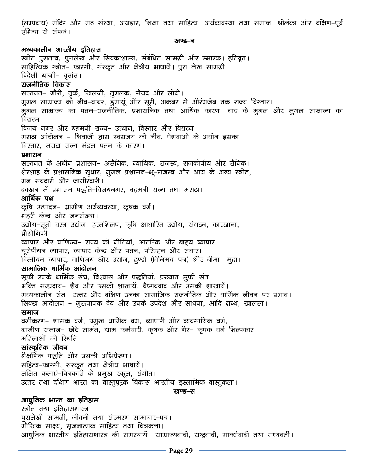(सम्प्रदाय) मंदिर और मठ संस्था, अग्रहार, शिक्षा तथा साहित्य, अर्थव्यवस्था तथा समाज, श्रीलंका और दक्षिण-पूर्व एशिया से संपर्क।

#### रवण्ड—ब

### मध्यकालीन भारतीय इतिहास

स्त्रोत पुरातत्व, पुरालेख और सिक्काशास्त्र, संबंधित सामग्री और स्मारक। इतिवृत। साहित्यिक स्त्रोत– फारसी, संस्कृत और क्षेत्रीय भाषायें। पूरा लेख सामग्री  $\overline{a}$ देशी यात्री- वृतांत। राजनीतिक विकास राल्तनत- गौरी, तुर्क, खिलजी, तुगलक, सैयद और लोदी। मुगल साम्राज्य की नीव–बाबर, हुमायूं और सूरी, अकबर से औरंगजेब तक राज्य विस्तार। उ<br>मुगल साम्राज्य का पतन–राजनीतिक, प्रशासनिक तथा आर्थिक कारण। बाद के मुगल और मुगल साम्राज्य का विद्यटन विजय नगर और बहमनी राज्य– उत्थान, विस्तार और विद्यटन मराठा आंदोलन – शिवाजी द्वारा स्वराजय की नींव, पेशवाओं के अधीन इसका विस्तार, मराठा राज्य मंडल पतन के कारण। प्रशासन राल्तनत के अधीन प्रशासन– असैनिक, न्यायिक, राजस्व, राजकोषीय और सैनिक। शेरशाह के प्रशासनिक सूधार, मूगल प्रशासन-भू-राजस्व और आय के अन्य स्त्रोत, मन सबदारी और जागीरदारी। दक्खन में प्रशासन पद्धति–विजयनगर, बहमनी राज्य तथा मराठा। आर्थिक पक्ष कृषि उत्पादन- ग्रामीण अर्थव्यवस्था, कृषक वर्ग। शहरी केन्द्र ओर जनसंख्या। उद्योग–सूती वस्त्र उद्योग, हस्तशिलप, कृषि आधारित उद्योग, संगठन, कारखाना, प्रौद्योगिकी । व्यापार और वाणिज्य– राज्य की नीतियाँ, आंतरिक और बाहय व्यापार यूरोपीयन व्यापार, व्यापार केन्द्र और पतन, परिवहन और संचार। वित्तीयन व्यापार, वाणिजय और उद्योग, हण्डी (विनिमय पत्र) और बीमा। मुद्रा। सामाजिक धार्मिक आंदोलन सूफी उनके धार्मिक संघ, विश्वास और पद्धतियां, प्रख्यात सुफी संत।  $\widehat{H}$ क्ति सम्प्रदाय– शैव और उसकी शाखायें. वैष्णववाद और उसकी शाखायें। मध्यकालीन संत– उत्तर और दक्षिण उनका सामाजिक राजनीतिक और धार्मिक जीवन पर प्रभाव। सिक्ख आंदोलन - गुरूनानक देव और उनके उपदेश और साधना, आदि ग्रन्थ, खालसा। समाज वर्गीकरण- शासक वर्ग, प्रमुख धार्मिक वर्ग, व्यापारी और व्यवसायिक वर्ग, ग्रामीण समाज– छोटे सामंत, ग्राम कर्मचारी, कृषक और गैर– कृषक वर्ग शिल्पकार। महिलाओं की रिथति सांस्कृतिक जीवन शैक्षणिक पद्धति और उसकी अभिप्रेरणा। सहित्य-फारसी, संस्कृत तथा क्षेत्रीय भाषायें। ललित कलाएं–चित्रकारी के प्रमुख स्कूल, संगीत। उत्तर तथा दक्षिण भारत का वास्तुपूरक विकास भारतीय इस्लामिक वास्तुकला। रतण्ड-स आधुनिक भारत का इतिहास स्त्रोत तथा इतिहासशास्त्र

पुरालेखी सामग्री, जीवनी तथा संस्मरण सामाचार–पत्र। मौखिक साक्ष्य, सृजनात्मक साहित्य तथा चित्रकला। आधुनिक भारतीय इतिहासशास्त्र की समस्यायें– साम्राज्यवादी, राष्ट्रवादी, मार्क्सवादी तथा मध्यवर्ती।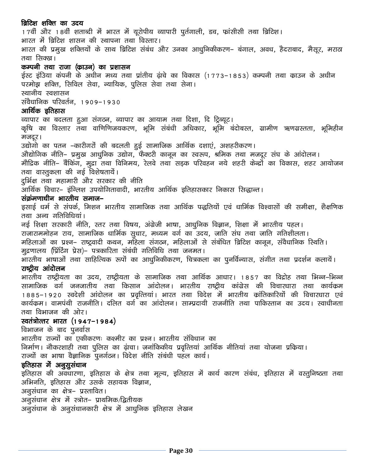### ब्रिटिश शक्ति का उदय

17वीं और 18वीं शताब्दी में भारत में यूरोपीय व्यापारी पुर्तगाली, डच, फ्रांसीसी तथा ब्रिटिश। भारत में ब्रिटिश शासन की स्थापना तथा विस्तार। भारत की प्रमुख शक्तियों के साथ ब्रिटिश संबंध और उनका आधुनिकीकरण– बंगाल, अवध, हैदराबाद, मैसूर, मराठा तथा सिक्ख। कम्पनी तथा राजा (काउन) का प्रशासन ईस्ट इंडिया कंपनी के अधीन मध्य तथा प्रांतीय ढ़ांचे का विकास (1773-1853) कम्पनी तथा काउन के अधीन परमोझ शक्ति, सिविल सेवा, न्यायिक, पुलिस सेवा तथा सेना। स्थानीय स्वशासन संवैधानिक परिवर्तन, 1909–1930 आर्थिक इतिहास व्यापार का बदलता हुआ संगठन, व्यापार का आयाम तथा दिशा, दि ट्रिब्यूट। कृषि का विस्तार तथा वाणिणिजयकरण, भूमि संबंधी अधिकार, भूमि बंदोबस्त, ग्रामीण ऋणग्रस्तता, भूमिहीन मजदूर। उद्योगो का पतन –कारीगरों की बदलती हुई सामाजिक आर्थिक दशाएं, अशहरीकरण। औद्योगिक नीति– प्रमुख आधुनिक उद्योग, फैक्टरी कानून का स्वरूप, श्रमिक तथा मजदूर संघ के आंदोलन। मौद्रिक नीति– बैंकिंग, मुद्रा तथा विनिमय, रेलवे तथा सड़क परिवहन नये शहरी केन्द्रों का विकास, शहर आयोजन तथा वास्तूकला की नई विशेषतायें। दुर्भिक्ष तथा महामारी और सरकार की नीति .<br>आर्थिक विचार– इंग्लिश उपयोगितावादी, भारतीय आर्थिक इतिहासकार निकास सिद्धान्त। संक्रंमणाधीन भारतीय समाज– इसाई धर्म से संपर्क, मिशन भारतीय सामाजिक तथा आर्थिक पद्धतियों एवं धार्मिक विश्वासों की समीक्षा, शैक्षणिक तथा अन्य गतिविधियां । नई शिक्षा सरकारी नीति, स्तर तथा विषय, अंग्रेजी भाषा, आधुनिक विज्ञान, शिक्षा में भारतीय पहल। राजाराममोहन राय, सामाजिक धार्मिक सुधार, मध्यम वर्ग का उदय, जाति संघ तथा जाति गतिशीलता। महिलाओं का प्रश्न– राष्ट्रवादी कथन, महिला संगठन, महिलाओं से संबंधित ब्रिटिश कानून, संवैधानिक रिथति। मुद्रणालय (प्रिंटिंग प्रेस)– पत्रकारिता संबंधी गतिविधि तथा जनमत। , मारतीय भाषाओं तथा साहित्यिक रूपों का आधुनिकीकरण, चित्रकला का पूनर्विन्यास, संगीत तथा प्रदर्शन कलायें। राष्ट्रीय आंदोलन भारतीय राष्ट्रीयता का उदय, राष्ट्रीयता के सामाजिक तथा आर्थिक आधार। 1857 का विद्रोह तथा भिन्न-भिन्न सामाजिक वर्ग जनजातीय तथा किसान आंदोलन। भारतीय राष्ट्रीय कांग्रेस की विचारधारा तथा कार्यक्रम 1885-1920 स्वदेशी आंदोलन का प्रवृत्तियां। भारत तथा विदेश में भारतीय क्रांतिकारियों की विचारधारा एवं कार्यक्रम। वामपंथी राजनीति। दलित वर्ग का आंदोलन। साम्प्रदायी राजनीति तथा पाकिस्तान का उदय। स्वाधीनता तथा विभाजन की ओर। स्वतंत्रोत्तर भारत (1947-1984) विभाजन के बाद पुनर्वास भारतीय राज्यों का एकीकरणः कश्मीर का प्रश्न। भारतीय संविधान का निर्माण। नौकरशाही तथा पूलिस का ढ़ांचा। जनांकिकीय प्रवृत्तियां आर्थिक नीतियां तथा योजना प्रक्रिया। राज्यों का भाषा वैज्ञानिक पुनर्गठन। विदेश नीति संबंधी पहल कार्य। इतिहास में अनुसूसंधान इतिहास की अवधारणा, इतिहास के क्षेत्र तथा मूल्य, इतिहास में कार्य कारण संबंध, इतिहास में वस्तुनिष्ठता तथा अभिनति, इतिहास और उसके सहायक विज्ञान, अनूसंधान का क्षेत्र- प्रस्तावित। अनुसंधान क्षेत्र में स्त्रोत– प्राथमिक/द्वितीयक अनुसंधान के अनुसंधानकारी क्षेत्र में आधुनिक इतिहास लेखन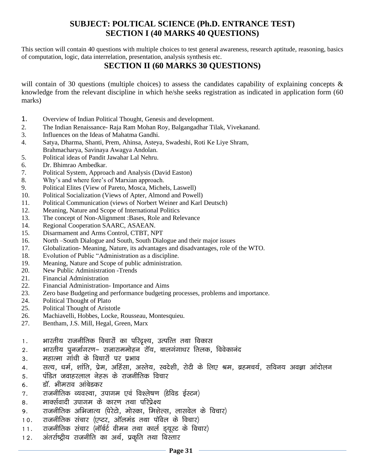# **SUBJECT: POLTICAL SCIENCE (Ph.D. ENTRANCE TEST) SECTION I (40 MARKS 40 QUESTIONS)**

This section will contain 40 questions with multiple choices to test general awareness, research aptitude, reasoning, basics of computation, logic, data interrelation, presentation, analysis synthesis etc.

# **SECTION II (60 MARKS 30 QUESTIONS)**

will contain of 30 questions (multiple choices) to assess the candidates capability of explaining concepts & knowledge from the relevant discipline in which he/she seeks registration as indicated in application form (60 marks)

- 1. Overview of Indian Political Thought, Genesis and development.
- 2. The Indian Renaissance- Raja Ram Mohan Roy, Balgangadhar Tilak, Vivekanand.
- 3. Influences on the Ideas of Mahatma Gandhi.
- 4. Satya, Dharma, Shanti, Prem, Ahinsa, Asteya, Swadeshi, Roti Ke Liye Shram, Brahmacharya, Savinaya Awagya Andolan.
- 5. Political ideas of Pandit Jawahar Lal Nehru.
- 6. Dr. Bhimrao Ambedkar.
- 7. Political System, Approach and Analysis (David Easton)
- 8. Why's and where fore's of Marxian approach.
- 9. Political Elites (View of Pareto, Mosca, Michels, Laswell)
- 10. Political Socialization (Views of Apter, Almond and Powell)
- 11. Political Communication (views of Norbert Weiner and Karl Deutsch)
- 12. Meaning, Nature and Scope of International Politics
- 13. The concept of Non-Alignment :Bases, Role and Relevance
- 14. Regional Cooperation SAARC, ASAEAN.
- 15. Disarmament and Arms Control, CTBT, NPT
- 16. North –South Dialogue and South, South Dialogue and their major issues
- 17. Globalization- Meaning, Nature, its advantages and disadvantages, role of the WTO.
- 18. Evolution of Public "Administration as a discipline.
- 19. Meaning, Nature and Scope of public administration.
- 20. New Public Administration -Trends
- 21. Financial Administration
- 22. Financial Administration- Importance and Aims
- 23. Zero base Budgeting and performance budgeting processes, problems and importance.
- 24. Political Thought of Plato
- 25. Political Thought of Aristotle
- 26. Machiavelli, Hobbes, Locke, Rousseau, Montesquieu.
- 27. Bentham, J.S. Mill, Hegal, Green, Marx
- 1. भारतीय राजनीतिक विचारों का परिदृश्य, उत्पत्ति तथा विकास
- 2. भारतीय पुनर्जागरण– राजाराममोहन<sup>ॅ</sup> रॉय, बालगंगाधर तिलक, विवेकानंद
- 3. महात्मा गांधी के विचारों पर प्रभाव
- 4. सत्य, धर्म, शांति, प्रेम, अहिंसा, अस्तेय, स्वदेशी, रोटी के लिए श्रम, ब्रहमचर्य, सविनय अवज्ञा आंदोलन
- 5. पंडित जवाहरलाल नेहरू के राजनीतिक विचार
- 6. डॉ. भीमराव आंबेडकर
- 7. राजनीतिक व्यवस्था, उपागम एवं विश्लेषण (डेविड ईस्टन)
- 8. मार्क्सवादी उपागम के कारण तथा परिप्रेक्ष्य
- 9. राजनीतिक अभिजात्य (पेरेटो, मोस्का, मिशेल्स, लासवेल के विचार)
- 10. राजनीतिक संचार (एप्टर, ऑलमंड तथा पॉवेल के विचार)
- $11.$  राजनीतिक संचार (नॉर्बर्ट वीमन तथा कार्ल डयूस्ट के विचार)
- $12.$  अंतर्राष्ट्रीय राजनीति का अर्थ, प्रकृति तथा विस्तार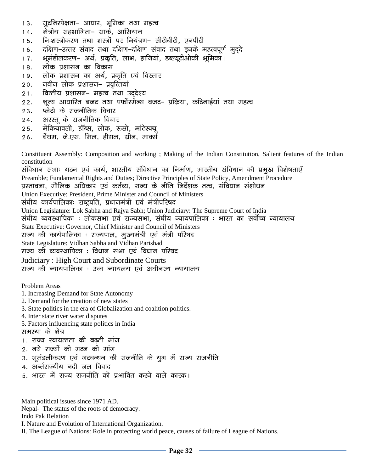- 13. गुटनिरपेक्षता– आधार, भूमिका तथा महत्व
- 14. क्षेत्रीय सहभागिता– सार्क, आसियान
- 15. विःशस्त्रीकरण तथा शस्त्रों पर नियंत्रण- सीटीबीटी. एनपीटी
- 16. दक्षिण-उत्तर संवाद तथा दक्षिण-दक्षिण संवाद तथा इनके महत्वपूर्ण मुददे
- 17. भूमंडीलकरण– अर्थ, प्रकृति, लाभ, हानियां, डब्ल्यूटीओकी भूमिका।
- 18. लोक प्रशासन का विकास
- 19. लोक प्रशासन का अर्थ, प्रकृति एवं विस्तार
- 20. नवीन लोक प्रशासन– प्रवृत्तियां
- 21. वित्तीय प्रशासन– महत्व तथा उददेश्य
- 22. शून्य आधारित बजट तथा पर्फोरमेन्स बजट– प्रक्रिया, कठिनाईयां तथा महत्व
- 23. प्लेटो के राजनीतिक विचार
- 24. अरस्तू के राजनीतिक विचार
- 25. मेकियावली, हॉब्स, लोक, रूसो, मांटेस्क्यू
- 26. बेंथम, जे.एस. मिल, हीगल, ग्रीन, मार्क्स

Constituent Assembly: Composition and working ; Making of the Indian Constitution, Salient features of the Indian constitution

संविधान सभाः गठन एवं कार्य, भारतीय संविधान का निर्माण, भारतीय संविधान की प्रमुख विशेषताएँ Preamble; Fundamental Rights and Duties; Directive Principles of State Policy, Amendment Procedure प्रस्तावना, मौलिक अधिकार एवं कर्तव्य, राज्य के नीति निर्देशक तत्व, संविधान संशोधन Union Executive: President, Prime Minister and Council of Ministers संघीय कार्यपालिकाः राष्ट्रपति, प्रधानमंत्री एवं मंत्रीपरिषद Union Legislature: Lok Sabha and Rajya Sabh; Union Judiciary: The Supreme Court of India संघीय व्यवस्थापिका : लोकसभा एवं राज्यसभा, संघीय न्यायपालिका : भारत का सर्वोच्च न्यायालय State Executive: Governor, Chief Minister and Council of Ministers राज्य की कार्यपालिका : राज्यपाल, मुख्यमंत्री एवं मंत्री परिषद State Legislature: Vidhan Sabha and Vidhan Parishad राज्य की व्यवस्थापिका : विधान सभा एवं विधान परिषद Judiciary : High Court and Subordinate Courts राज्य की न्यायपालिका : उच्च न्यायलय एवं अधीनस्थ न्यायालय

Problem Areas

- 1. Increasing Demand for State Autonomy
- 2. Demand for the creation of new states
- 3. State politics in the era of Globalization and coalition politics.
- 4. Inter state river water disputes
- 5. Factors influencing state politics in India समस्या के क्षेत्र
- 1. राज्य स्वायत्तता की बढ़ती मांग
- 2. नये राज्यों की गठन की मांग
- 3. भूमंडलीकरण एवं गठबन्धन की राजनीति के युग में राज्य राजनीति
- 4. अर्ल्तराज्यीय नदी जल विवाद
- 5. भारत में राज्य राजनीति को प्रभावित करने वाले कारक।

Main political issues since 1971 AD.

Nepal- The status of the roots of democracy.

Indo Pak Relation

I. Nature and Evolution of International Organization.

II. The League of Nations: Role in protecting world peace, causes of failure of League of Nations.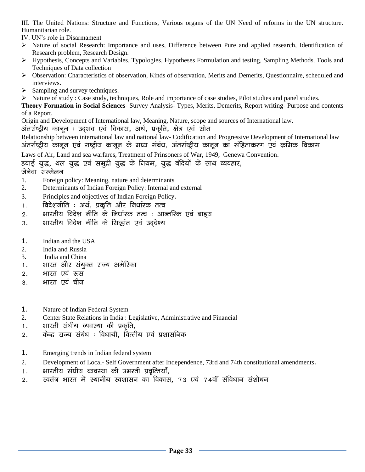III. The United Nations: Structure and Functions, Various organs of the UN Need of reforms in the UN structure. Humanitarian role.

IV. UN's role in Disarmament

- ➢ Nature of social Research: Importance and uses, Difference between Pure and applied research, Identification of Research problem, Research Design.
- ➢ Hypothesis, Concepts and Variables, Typologies, Hypotheses Formulation and testing, Sampling Methods. Tools and Techniques of Data collection
- ➢ Observation: Characteristics of observation, Kinds of observation, Merits and Demerits, Questionnaire, scheduled and interviews.
- $\triangleright$  Sampling and survey techniques.
- ➢ Nature of study : Case study, techniques, Role and importance of case studies, Pilot studies and panel studies.

**Theory Formation in Social Sciences**- Survey Analysis- Types, Merits, Demerits, Report writing- Purpose and contents of a Report.

Origin and Development of International law, Meaning, Nature, scope and sources of International law.

अंतर्राष्ट्रीय कानून : उदभव एवं विकास, अर्थ, प्रकृति, क्षेत्र एवं स्रोत

Relationship between international law and national law- Codification and Progressive Development of International law अंतर्राष्ट्रीय कानून एवं राष्ट्रीय कानून के मध्य संबंध, अंतर्राष्ट्रीय कानून का संहिताकरण एवं कमिक विकास

Laws of Air, Land and sea warfares, Treatment of Prinsoners of War, 1949, Genewa Convention.

हवाई युद्ध, थल युद्ध एवं समुद्री युद्ध के नियम, युद्ध बंदियों के साथ व्यवहार,

जेनेवा सम्मेलन

- 1. Foreign policy: Meaning, nature and determinants
- 2. Determinants of Indian Foreign Policy: Internal and external
- 3. Principles and objectives of Indian Foreign Policy.
- 1. विदेशनीति : अर्थ, प्रकृति और निर्धारक तत्व
- 2. भारतीय विदेश नीति के निर्धारक तत्व : आन्तरिक एवं बाहय
- 3. भारतीय विदेश नीति के सिद्धांत एवं उददेश्य
- 1. Indian and the USA
- 2. India and Russia
- 3. India and China
- 1. भारत और संयुक्त राज्य अमेरिका
- 2. भारत एवं रूस
- 3. भारत एवं चीन
- 1. Nature of Indian Federal System
- 2. Center State Relations in India : Legislative, Administrative and Financial
- 1. भारती संघीय व्यवस्था की प्रकृति.
- 2. केन्द्र राज्य संबंध : विधायी, वित्तीय एवं प्रशासनिक
- 1. Emerging trends in Indian federal system
- 2. Development of Local- Self Government after Independence, 73rd and 74th constitutional amendments.
- 1. मारतीय संघीय व्यवस्था की उभरती प्रवृत्तियाँ,
- 2. स्वतंत्र भारत में स्थानीय स्वशासन का विकास, 73 एवं 74वाँ संविधान संशोधन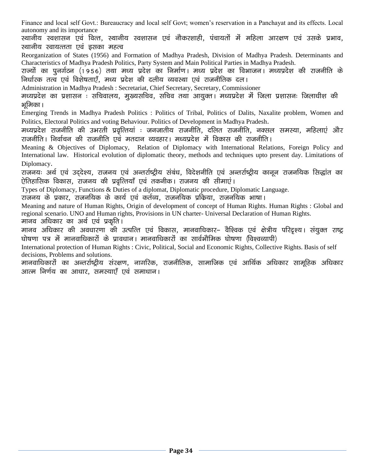Finance and local self Govt.: Bureaucracy and local self Govt; women's reservation in a Panchayat and its effects. Local autonomy and its importance

रथानीय स्वशासन एवं वित्त, स्थानीय स्वशासन एवं नौकरशाही, पंचायतों में महिला आरक्षण एवं उसके प्रभाव, स्थानीय स्वायत्तता एवं इसका महत्व

Reorganization of States (1956) and Formation of Madhya Pradesh, Division of Madhya Pradesh. Determinants and Characteristics of Madhya Pradesh Politics, Party System and Main Political Parties in Madhya Pradesh.

राज्यों का पुनर्गठन (1956) तथा मध्य प्रदेश का निर्माण। मध्य प्रदेश का विभाजन। मध्यप्रदेश की राजनीति के निर्धारक तत्व एवं विशेषताएँ. मध्य प्रदेश की दलीय व्यवस्था एवं राजनीतिक दल।

Administration in Madhya Pradesh : Secretariat, Chief Secretary, Secretary, Commissioner

मध्यप्रदेश का प्रशासन : सचिवालय, मुख्यसचिव, सचिव तथा आयुक्त। मध्यप्रदेश में जिला प्रशासनः जिलाधीश की भूमिका ।

Emerging Trends in Madhya Pradesh Politics : Politics of Tribal, Politics of Dalits, Naxalite problem, Women and Politics, Electoral Politics and voting Behaviour. Politics of Development in Madhya Pradesh.

मध्यप्रदेश राजनीति की उभरती प्रवृत्तियां : जनजातीय राजनीति, दलित राजनीति, नक्सल समस्या, महिलाएं और राजनीति। निर्वाचन की राजनीति एवं मतदान व्यवहार। मध्यप्रदेश में विकास की राजनीति।

Meaning & Objectives of Diplomacy, Relation of Diplomacy with International Relations, Foreign Policy and International law. Historical evolution of diplomatic theory, methods and techniques upto present day. Limitations of Diplomacy.

राजनयः अर्थ एवं उददेश्य, राजनय एवं अन्तर्राष्ट्रीय संबंध, विदेशनीति एवं अन्तर्राष्ट्रीय कानून राजनयिक सिद्धांत का ऐतिहासिक विकास, राजनय की प्रवृत्तियाँ एवं तकनीक। राजनय की सीमाएं।

Types of Diplomacy, Functions & Duties of a diplomat, Diplomatic procedure, Diplomatic Language.

राजनय के प्रकार, राजनयिक के कार्य एवं कर्तव्य, राजनयिक प्रक्रिया, राजनयिक भाषा।

Meaning and nature of Human Rights, Origin of development of concept of Human Rights. Human Rights : Global and regional scenario. UNO and Human rights, Provisions in UN charter- Universal Declaration of Human Rights.

मानव अधिकार का अर्थ एवं प्रकृति।

मानव अधिकार की अवधारणा की उत्पत्ति एवं विकास, मानवाधिकार– वैश्विक एवं क्षेत्रीय परिदृश्य। संयुक्त राष्ट्र घोषणा पत्र में मानवाधिकारों के प्रावधान। मानवाधिकारों का सार्वभौमिक घोषणा (विश्वव्यापी)

International protection of Human Rights : Civic, Political, Social and Economic Rights, Collective Rights. Basis of self decisions, Problems and solutions.

मानवाधिकारों का अन्तर्राष्ट्रीय संरक्षण, नागरिक, राजनीतिक, सामाजिक एवं आर्थिक अधिकार सामूहिक अधिकार आत्म निर्णय का आधार, समस्याएँ एवं समाधान।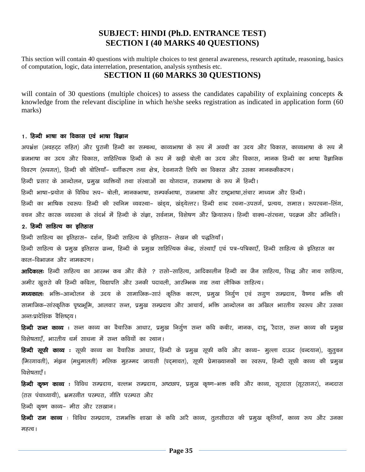### **SUBJECT: HINDI (Ph.D. ENTRANCE TEST) SECTION I (40 MARKS 40 QUESTIONS)**

This section will contain 40 questions with multiple choices to test general awareness, research aptitude, reasoning, basics of computation, logic, data interrelation, presentation, analysis synthesis etc.

### **SECTION II (60 MARKS 30 QUESTIONS)**

will contain of 30 questions (multiple choices) to assess the candidates capability of explaining concepts & knowledge from the relevant discipline in which he/she seeks registration as indicated in application form (60 marks)

### 1. हिन्दी भाषा का विकास एवं भाषा विज्ञान

अपभ्रंश (अवहट्ट सहित) और पुरानी हिन्दी का सम्बन्ध, काव्यभाषा के रूप में अवधी का उदय और विकास, काव्यभाषा के रूप में ब्रजभाषा का उदय और विकास, साहित्यिक हिन्दी के रूप में खडी बोली का उदय और विकास, मानक हिन्दी का भाषा वैज्ञानिक विवरण (रूपगत), हिन्दी की बोलियाँ– वर्गीकरण तथा क्षेत्र, देवनागरी लिपि का विकास और उसका मानककीकरण। हिन्दी प्रसार के आन्दोलन, प्रमुख व्यक्तियों तथा संस्थाओं का योगदान, राजभाषा के रूप में हिन्दी।

हिन्दी भाषा–प्रयोग के विविध रूप– बोली, मानकभाषा, सम्पर्कभाषा, राजभाषा और राष्ट्रभाषा,संचार माध्यम और हिन्दी।

हिन्दी का भाषिक स्वरूपः हिन्दी की स्वनिम व्यवस्था– खंड्य, खंड्येत्तर। हिन्दी शब्द रचना–उपसर्ग, प्रत्यय, समास। रूपरचना–लिंग,

वचन और कारक व्यवस्था के संदर्भ में हिन्दी के संज्ञा, सर्वनाम, विशेषण और क्रियारूप। हिन्दी वाक्य–संरचना, पदक्रम और अन्विति।

### 2. हिन्दी साहित्य का इतिहास

हिन्दी साहित्य का इतिहास- दर्शन, हिन्दी साहित्य के इतिहास- लेखन की पद्धतियाँ।

हिन्दी साहित्य के प्रमुख इतिहास ग्रन्थ, हिन्दी के प्रमुख साहित्यिक केन्द्र, संस्थाएँ एवं पत्र–पत्रिकाएँ, हिन्दी साहित्य के इतिहास का काल-विभाजन और नामकरण।

आदिकालः हिन्दी साहित्य का आरम्भ कब और कैसे ? रासो–साहित्य, आदिकालीन हिन्दी का जैन साहित्य, सिद्ध और नाथ साहित्य, अमीर खुसरो की हिन्दी कविता, विद्यापति और उनकी पदावली, आरम्भिक गद्य तथा लौकिक साहित्य।

**मध्यकालः** भक्ति–आन्दोलन के उदय के सामाजिक–सारं कृतिक कारण, प्रमुख निर्गुण एवं सगुण सम्प्रदाय, वैष्णव भक्ति की सामाजिक–सांस्कृतिक पृष्ठभूमि, आलवार सन्त, प्रमुख सम्प्रदाय और आचार्य, भक्ति आन्दोलन का अखिल भारतीय स्वरूप और उसका अन्तःप्रादेशिक वैशिष्टय।

**हिन्दी सन्त काव्य** : सन्त काव्य का वैचारिक आधार, प्रमुख निर्गुण सन्त कवि कबीर, नानक, दादू, रैदास, सन्त काव्य की प्रमुख विशेषताएँ, भारतीय धर्म साधना में सन्त कवियों का स्थान।

**हिन्दी सूफी काव्य** : सूफी काव्य का वैचारिक आधार, हिन्दी के प्रमुख सूफी कवि और काव्य– मुल्ला दाऊद (चन्दयान), कुतुबन (मिरगावती), मंझन (मधुमालती) मलिक मुहम्मद जायसी (पद्मावत), सूफी प्रेमाख्यानकों का स्वरूप, हिन्दी सूफी काव्य की प्रमुख विशेषतााएँ ।

**हिन्दी कृष्ण काव्य** : विविध सम्प्रदाय, वल्लभ सम्प्रदाय, अष्टछाप, प्रमुख कृष्ण–भक्त कवि और काव्य, सूरदास (सूरसागर), नन्ददास (रास पंचाध्यायी), भ्रमरगीत परम्परा, गीति परम्परा और

हिन्दी कृष्ण काव्य- मीरा और रसखान।

हिन्दी राम काव्य : विविध सम्प्रदाय, रामभक्ति शाखा के कवि आरै काव्य, तुलसीदास की प्रमुख कृतियाँ, काव्य रूप और उनका महत्व ।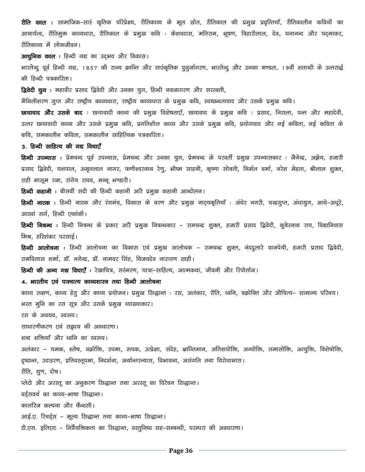**रीति काल :** सामाजिक–सारं कृतिक परिप्रेक्ष्य, रीतिकाव्य के मूल स्रोत, रीतिकाल की प्रमुख प्रवृत्तियाँ, रीतिकालीन कवियों का आचार्यत्व, रीतिमुक्त काव्यधारा, रीतिकाल के प्रमुख कवि : केशवदास, मतिराम, भूषण, बिहारीलाल, देव, घनानन्द और पद्माकर, रीतिकाव्य में लोकजीवन। आधुनिक काल : हिन्दी गद्य का उद्भव और विकास। भारतेन्दु पूर्व हिन्दी गद्य, 1857 की राज्य क्रान्ति और सारंकृतिक पुनुर्जागरण, भारतेन्दु और उनका मण्डल, 19वीं शताब्दी के उत्तरार्द्ध की हिन्दी पत्रकारिता। **द्विवेदी युग** : महावीर प्रसाद द्विवेदी और उनका युग, हिन्दी नवजागरण और सरस्वती, मैथिलीशरण गुप्त और राष्ट्रीय काव्यधारा, राष्ट्रीय काव्यधारा के प्रमुख कवि, स्वच्छन्दतावाद और उसके प्रमुख कवि। **छायावाद और उसके बाद**ः छायावादी काव्य की प्रमुख विशेषताएँ, छायावाद के प्रमुख कविः प्रसाद, निराला, पन्त और महादेवी, उत्तर छायावादी काव्य और उसके प्रमुख कवि, प्रगतिशील काव्य और उसके प्रमुख कवि, प्रयोगवाद और नई कविता, नई कविता के कवि, समकालीन कविता, समकालीन साहित्यिक पत्रकारिता। 3. हिन्दी साहित्य की गद्य विधाएँ **हिन्दी उपन्यास** : प्रेमचन्द पूर्व उपन्यास, प्रेमचन्द और उनका युग, प्रेमचन्द के परवर्ती प्रमुख उपन्यासकार : जैनेन्द्र, अज्ञेय, हजारी प्रसाद द्विवेदी, यशपाल, अमृतलाल नागर, फणीश्वरनाथ रेणू, भीष्म साहनी, कृष्णा सोबती, निर्मल वर्मा, नरेश मेहता, श्रीलाल शुक्ल, राही मासूम रजा, रांगेय राघव, मन्नू भण्डारी। हिन्दी कहानी : बीसवीं सदी की हिन्दी कहानी आरै प्रमुख कहानी आन्दोलन। **हिन्दी नाटक** : हिन्दी नाटक और रंगमंच, विकास के चरण और प्रमुख नाट्यकृतियाँ : अंधेर नगरी, चन्द्रगुप्त, अंधायुग, आधे–अधूरे, आठवां सर्ग, हिन्दी एकांकी। **हिन्दी निबन्ध** : हिन्दी निबन्ध के प्रकार आरै प्रमुख निबन्धकार – रामचन्द्र शुक्ल, हजारी प्रसाद द्विवेदी, कुबेरनाथ राय, विद्यानिवास मिश्र, हरिशंकर परसाई। **हिन्दी आलोचना** : हिन्दी आलोचना का विकास एवं प्रमुख आलोचक – रामचन्द्र शुक्ल, नंददुलारे वाजपेयी, हजारी प्रसाद द्विवेदी, रामविलास शर्मा, डॉ. नगेन्द्र, डॉ. नामवर सिंह, विजयदेव नारायण साही। **हिन्दी की अन्य गद्य विधाएँ** : रेखाचित्र, सरंमरण, यात्रा-साहित्य, आत्मकथा, जीवनी और रिपोर्ताज। 4. भारतीय एवं पाश्चात्य काव्यशास्त्र तथा हिन्दी आलोचना काव्य लक्षण, काव्य हेतु और काव्य प्रयोजन। प्रमुख सिद्धान्त : रस, अलंकार, रीति, ध्वनि, वक्रोक्ति और औचित्य– सामान्य परिचय। भरत मुनि का रस सूत्र और उसके प्रमुख व्याख्याकार। रस के अवयव, स्वरूप। साधारणीकरण एवं सहृदय की अवधारणा। शब्द शक्तियाँ और ध्वनि का स्वरूप। अलंकार – यमक, श्लेष, वक्रोक्ति, उपमा, रूपक, उत्प्रेक्षा, संदेह, भ्रान्तिमान, अतिशयोक्ति, अन्योक्ति, समासोक्ति, अत्युक्ति, विशेषोक्ति, दृष्टान्त, उदाहरण, प्रतिवस्तूपमा, निदर्शना, अर्थान्तरन्यास, विभावना, असंगति तथा विरोधाभास। रीति, गुण, दोष। प्लेटो और अरस्तू का अनुकरण सिद्धान्त तथा अरस्तू का विरेचन सिद्धान्त। वर्ड्सवर्थ का काव्य-भाषा सिद्धान्त। कालरिज कल्पना और फैन्टसी। आई.ए. रिचर्ड्स - मूल्य सिद्धान्त तथा काव्य-भाषा सिद्धान्त। टी.एस. इलिएट – निर्वेयक्तिकता का सिद्धान्त, वस्तुनिष्ठ सह-सम्बन्धी, परम्परा की अवधारणा।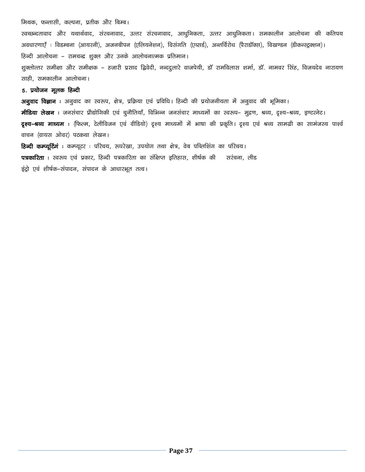#### मिथक, फन्तासी, कल्पना, प्रतीक और बिम्ब।

रवच्छन्दतावाद और यथार्थवाद, संरचनावाद, उत्तर संरचनावाद, आधुनिकता, उत्तर आधुनिकता। समकालीन आलोचना की कतिपय अवधारणाएँ : विडम्बना (आयरनी), अजनबीपन (एलियनेशन), विसंगति (एब्सर्ड), अन्तर्विरोध (पैराडॉक्स), विखण्डन (डीकन्स्ट्रक्शन)। हिन्दी आलोचना – रामचन्द्र शुक्ल और उनके आलोचनात्मक प्रतिमान। शुक्लोत्तर समीक्षा और समीक्षक – हजारी प्रसाद द्विवेदी, नन्ददुलारे वाजपेयी, डॉ रामविलास शर्मा, डॉ. नामवर सिंह, विजयदेव नारायण साही, समकालीन आलोचना।

#### 5. प्रयोजन मूलक हिन्दी

अनुवाद विज्ञान : अनुवाद का स्वरूप, क्षेत्र, प्रक्रिया एवं प्रविधि। हिन्दी की प्रयोजनीयता में अनुवाद की भूमिका। **मीडिया लेखन**ः जनसंचार प्रौद्योगिकी एवं चुनौतियाँ, विभिन्न जनसंचार माध्यमों का स्वरूप– मुद्रण, श्रव्य, दृश्य–श्रव्य, इण्टरनेट। **दृश्य-श्रव्य माध्यम** : (फिल्म, टेलीविजन एवं वीडियो) दृश्य माध्यमों में भाषा की प्रकृति। दृश्य एवं श्रव्य सामग्री का सामंजस्य पार्श्व वाचन (वायस ओवर) पटकथा लेखन।

हिन्दी कम्प्यूटिंगं : कम्प्यूटर : परिचय, रूपरेखा, उपयोग तथा क्षेत्र, वेब पब्लिशिंग का परिचय। पत्रकारिता : स्वरूप एवं प्रकार, हिन्दी पत्रकारिता का संक्षिप्त इतिहास, शीर्षक की सरंचना, लीड इंट्रो एवं शीर्षक–संपादन, संपादन के आधारभूत तत्व।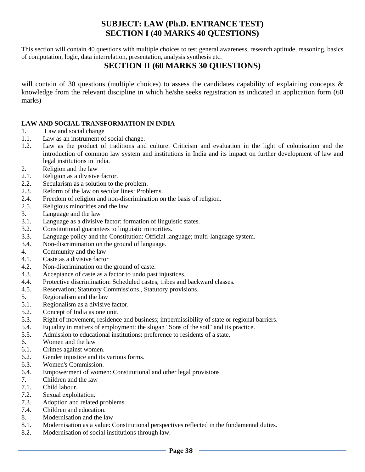# **SUBJECT: LAW (Ph.D. ENTRANCE TEST) SECTION I (40 MARKS 40 QUESTIONS)**

This section will contain 40 questions with multiple choices to test general awareness, research aptitude, reasoning, basics of computation, logic, data interrelation, presentation, analysis synthesis etc.

# **SECTION II (60 MARKS 30 QUESTIONS)**

will contain of 30 questions (multiple choices) to assess the candidates capability of explaining concepts & knowledge from the relevant discipline in which he/she seeks registration as indicated in application form (60 marks)

### **LAW AND SOCIAL TRANSFORMATION IN INDIA**

- 1. Law and social change
- 1.1. Law as an instrument of social change.
- 1.2. Law as the product of traditions and culture. Criticism and evaluation in the light of colonization and the introduction of common law system and institutions in India and its impact on further development of law and legal institutions in India.
- 2. Religion and the law
- 2.1. Religion as a divisive factor.
- 2.2. Secularism as a solution to the problem.
- 2.3. Reform of the law on secular lines: Problems.
- 2.4. Freedom of religion and non-discrimination on the basis of religion.
- 2.5. Religious minorities and the law.
- 3. Language and the law
- 3.1. Language as a divisive factor: formation of linguistic states.
- 3.2. Constitutional guarantees to linguistic minorities.
- 3.3. Language policy and the Constitution: Official language; multi-language system.
- 3.4. Non-discrimination on the ground of language.
- 4. Community and the law
- 4.1. Caste as a divisive factor
- 4.2. Non-discrimination on the ground of caste.
- 4.3. Acceptance of caste as a factor to undo past injustices.
- 4.4. Protective discrimination: Scheduled castes, tribes and backward classes.
- 4.5. Reservation; Statutory Commissions., Statutory provisions.
- 5. Regionalism and the law
- 5.1. Regionalism as a divisive factor.
- 5.2. Concept of India as one unit.
- 5.3. Right of movement, residence and business; impermissibility of state or regional barriers.
- 5.4. Equality in matters of employment: the slogan "Sons of the soil" and its practice.
- 5.5. Admission to educational institutions: preference to residents of a state.
- 6. Women and the law
- 6.1. Crimes against women.
- 6.2. Gender injustice and its various forms.
- 6.3. Women's Commission.
- 6.4. Empowerment of women: Constitutional and other legal provisions
- 7. Children and the law
- 7.1. Child labour.
- 7.2. Sexual exploitation.
- 7.3. Adoption and related problems.
- 7.4. Children and education.
- 8. Modernisation and the law
- 8.1. Modernisation as a value: Constitutional perspectives reflected in the fundamental duties.
- 8.2. Modernisation of social institutions through law.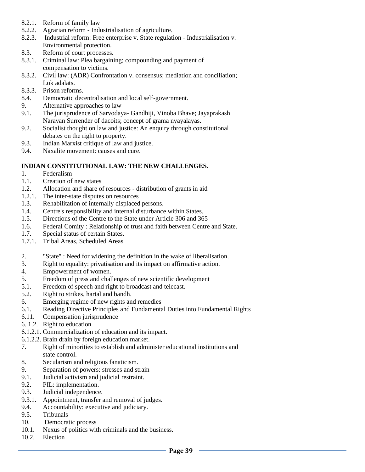- 8.2.1. Reform of family law
- 8.2.2. Agrarian reform Industrialisation of agriculture.
- 8.2.3. Industrial reform: Free enterprise v. State regulation Industrialisation v. Environmental protection.
- 8.3. Reform of court processes.
- 8.3.1. Criminal law: Plea bargaining; compounding and payment of compensation to victims.
- 8.3.2. Civil law: (ADR) Confrontation v. consensus; mediation and conciliation; Lok adalats.
- 8.3.3. Prison reforms.
- 8.4. Democratic decentralisation and local self-government.
- 9. Alternative approaches to law
- 9.1. The jurisprudence of Sarvodaya- Gandhiji, Vinoba Bhave; Jayaprakash Narayan Surrender of dacoits; concept of grama nyayalayas.
- 9.2. Socialist thought on law and justice: An enquiry through constitutional debates on the right to property.
- 9.3. Indian Marxist critique of law and justice.
- 9.4. Naxalite movement: causes and cure.

#### **INDIAN CONSTITUTIONAL LAW: THE NEW CHALLENGES.**

- 1. Federalism
- 1.1. Creation of new states
- 1.2. Allocation and share of resources distribution of grants in aid
- 1.2.1. The inter-state disputes on resources
- 1.3. Rehabilitation of internally displaced persons.
- 1.4. Centre's responsibility and internal disturbance within States.
- 1.5. Directions of the Centre to the State under Article 306 and 365
- 1.6. Federal Comity : Relationship of trust and faith between Centre and State.
- 1.7. Special status of certain States.
- 1.7.1. Tribal Areas, Scheduled Areas
- 2. "State" : Need for widening the definition in the wake of liberalisation.
- 3. Right to equality: privatisation and its impact on affirmative action.
- 4. Empowerment of women.
- 5. Freedom of press and challenges of new scientific development
- 5.1. Freedom of speech and right to broadcast and telecast.
- 5.2. Right to strikes, hartal and bandh.
- 6. Emerging regime of new rights and remedies
- 6.1. Reading Directive Principles and Fundamental Duties into Fundamental Rights
- 6.11. Compensation jurisprudence
- 6. 1.2. Right to education
- 6.1.2.1. Commercialization of education and its impact.
- 6.1.2.2. Brain drain by foreign education market.
- 7. Right of minorities to establish and administer educational institutions and state control.
- 8. Secularism and religious fanaticism.
- 9. Separation of powers: stresses and strain
- 9.1. Judicial activism and judicial restraint.
- 9.2. PIL: implementation.
- 9.3. Judicial independence.
- 9.3.1. Appointment, transfer and removal of judges.
- 9.4. Accountability: executive and judiciary.
- 9.5. Tribunals
- 10. Democratic process
- 10.1. Nexus of politics with criminals and the business.
- 10.2. Election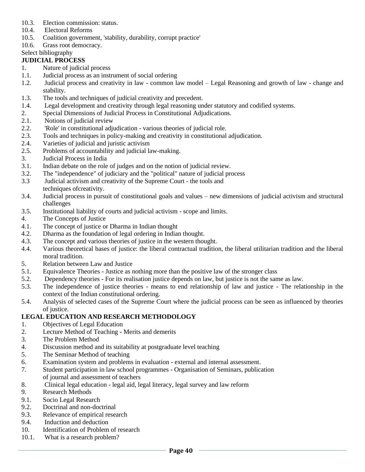- 10.3. Election commission: status.
- 10.4. Electoral Reforms
- 10.5. Coalition government, 'stability, durability, corrupt practice'
- 10.6. Grass root democracy.
- Select bibliography

### **JUDICIAL PROCESS**

- 1. Nature of judicial process
- 1.1. Judicial process as an instrument of social ordering
- 1.2. Judicial process and creativity in law common law model Legal Reasoning and growth of law change and stability.
- 1.3. The tools and techniques of judicial creativity and precedent.
- 1.4. Legal development and creativity through legal reasoning under statutory and codified systems.
- 2. Special Dimensions of Judicial Process in Constitutional Adjudications.
- 2.1. Notions of judicial review
- 2.2. 'Role' in constitutional adjudication various theories of judicial role.
- 2.3. Tools and techniques in policy-making and creativity in constitutional adjudication.
- 2.4. Varieties of judicial and juristic activism
- 2.5. Problems of accountability and judicial law-making.
- 3. Judicial Process in India
- 3.1. Indian debate on the role of judges and on the notion of judicial review.
- 3.2. The "independence" of judiciary and the "political" nature of judicial process
- 3.3 Judicial activism and creativity of the Supreme Court the tools and techniques ofcreativity.
- 3.4. Judicial process in pursuit of constitutional goals and values new dimensions of judicial activism and structural challenges
- 3.5. Institutional liability of courts and judicial activism scope and limits.
- 4. The Concepts of Justice
- 4.1. The concept of justice or Dharma in Indian thought
- 4.2. Dharma as the foundation of legal ordering in Indian thought.
- 4.3. The concept and various theories of justice in the western thought.
- 4.4. Various theoretical bases of justice: the liberal contractual tradition, the liberal utilitarian tradition and the liberal moral tradition.
- 5. Relation between Law and Justice
- 5.1. Equivalence Theories Justice as nothing more than the positive law of the stronger class
- 5.2. Dependency theories For its realisation justice depends on law, but justice is not the same as law.
- 5.3. The independence of justice theories means to end relationship of law and justice The relationship in the context of the Indian constitutional ordering.
- 5.4. Analysis of selected cases of the Supreme Court where the judicial process can be seen as influenced by theories of justice.

### **LEGAL EDUCATION AND RESEARCH METHODOLOGY**

- 1. Objectives of Legal Education
- 2. Lecture Method of Teaching Merits and demerits
- 3. The Problem Method
- 4. Discussion method and its suitability at postgraduate level teaching
- 5. The Seminar Method of teaching
- 6. Examination system and problems in evaluation external and internal assessment.
- 7. Student participation in law school programmes Organisation of Seminars, publication of journal and assessment of teachers
- 8. Clinical legal education legal aid, legal literacy, legal survey and law reform
- 9. Research Methods
- 9.1. Socio Legal Research
- 9.2. Doctrinal and non-doctrinal
- 9.3. Relevance of empirical research
- 9.4. Induction and deduction
- 10. Identification of Problem of research
- 10.1. What is a research problem?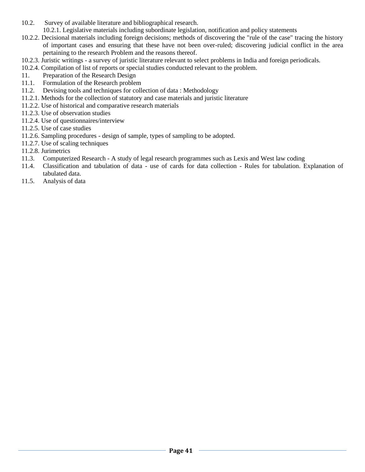- 10.2. Survey of available literature and bibliographical research.
	- 10.2.1. Legislative materials including subordinate legislation, notification and policy statements
- 10.2.2. Decisional materials including foreign decisions; methods of discovering the "rule of the case" tracing the history of important cases and ensuring that these have not been over-ruled; discovering judicial conflict in the area pertaining to the research Problem and the reasons thereof.
- 10.2.3. Juristic writings a survey of juristic literature relevant to select problems in India and foreign periodicals.
- 10.2.4. Compilation of list of reports or special studies conducted relevant to the problem.
- 11. Preparation of the Research Design
- 11.1. Formulation of the Research problem
- 11.2. Devising tools and techniques for collection of data : Methodology
- 11.2.1. Methods for the collection of statutory and case materials and juristic literature
- 11.2.2. Use of historical and comparative research materials
- 11.2.3. Use of observation studies
- 11.2.4. Use of questionnaires/interview
- 11.2.5. Use of case studies
- 11.2.6. Sampling procedures design of sample, types of sampling to be adopted.
- 11.2.7. Use of scaling techniques
- 11.2.8. Jurimetrics
- 11.3. Computerized Research A study of legal research programmes such as Lexis and West law coding
- 11.4. Classification and tabulation of data use of cards for data collection Rules for tabulation. Explanation of tabulated data.
- 11.5. Analysis of data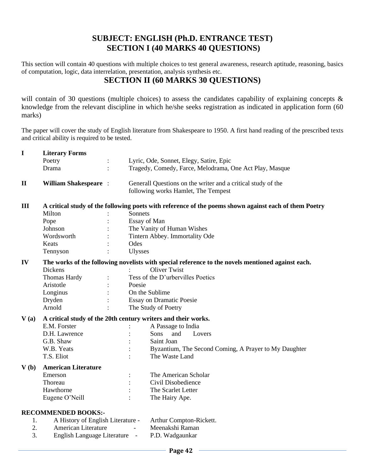# **SUBJECT: ENGLISH (Ph.D. ENTRANCE TEST) SECTION I (40 MARKS 40 QUESTIONS)**

This section will contain 40 questions with multiple choices to test general awareness, research aptitude, reasoning, basics of computation, logic, data interrelation, presentation, analysis synthesis etc.

# **SECTION II (60 MARKS 30 QUESTIONS)**

will contain of 30 questions (multiple choices) to assess the candidates capability of explaining concepts & knowledge from the relevant discipline in which he/she seeks registration as indicated in application form (60 marks)

The paper will cover the study of English literature from Shakespeare to 1950. A first hand reading of the prescribed texts and critical ability is required to be tested.

| $\mathbf I$  | <b>Literary Forms</b>                                                                             |  |                                                                                                     |                                                                                                       |  |
|--------------|---------------------------------------------------------------------------------------------------|--|-----------------------------------------------------------------------------------------------------|-------------------------------------------------------------------------------------------------------|--|
|              | Poetry                                                                                            |  |                                                                                                     | Lyric, Ode, Sonnet, Elegy, Satire, Epic                                                               |  |
|              | Drama                                                                                             |  |                                                                                                     | Tragedy, Comedy, Farce, Melodrama, One Act Play, Masque                                               |  |
| $\mathbf{I}$ | <b>William Shakespeare:</b>                                                                       |  | Generall Questions on the writer and a critical study of the<br>following works Hamlet, The Tempest |                                                                                                       |  |
| III          |                                                                                                   |  |                                                                                                     | A critical study of the following poets with reference of the poems shown against each of them Poetry |  |
|              | Milton                                                                                            |  | Sonnets                                                                                             |                                                                                                       |  |
|              | Pope                                                                                              |  | Essay of Man                                                                                        |                                                                                                       |  |
|              | Johnson                                                                                           |  | The Vanity of Human Wishes                                                                          |                                                                                                       |  |
|              | Wordsworth                                                                                        |  | Tintern Abbey. Immortality Ode                                                                      |                                                                                                       |  |
|              | Keats                                                                                             |  | Odes                                                                                                |                                                                                                       |  |
|              | Tennyson                                                                                          |  | <b>Ulysses</b>                                                                                      |                                                                                                       |  |
| IV           | The works of the following novelists with special reference to the novels mentioned against each. |  |                                                                                                     |                                                                                                       |  |
|              | <b>Dickens</b>                                                                                    |  |                                                                                                     | <b>Oliver Twist</b>                                                                                   |  |
|              | Thomas Hardy                                                                                      |  |                                                                                                     | Tess of the D'urbervilles Poetics                                                                     |  |
|              | Aristotle                                                                                         |  | Poesie                                                                                              |                                                                                                       |  |
|              | Longinus                                                                                          |  |                                                                                                     | On the Sublime                                                                                        |  |
|              | Dryden                                                                                            |  | <b>Essay on Dramatic Poesie</b>                                                                     |                                                                                                       |  |
|              | Arnold                                                                                            |  | The Study of Poetry                                                                                 |                                                                                                       |  |
| V(a)         | A critical study of the 20th century writers and their works.                                     |  |                                                                                                     |                                                                                                       |  |
|              | E.M. Forster                                                                                      |  |                                                                                                     | A Passage to India                                                                                    |  |
|              | D.H. Lawrence                                                                                     |  |                                                                                                     | and<br>Sons<br>Lovers                                                                                 |  |
|              | G.B. Shaw                                                                                         |  |                                                                                                     | Saint Joan                                                                                            |  |
|              | W.B. Yeats                                                                                        |  |                                                                                                     | Byzantium, The Second Coming, A Prayer to My Daughter                                                 |  |
|              | T.S. Eliot                                                                                        |  |                                                                                                     | The Waste Land                                                                                        |  |
| V(b)         | <b>American Literature</b>                                                                        |  |                                                                                                     |                                                                                                       |  |
|              | Emerson                                                                                           |  |                                                                                                     | The American Scholar                                                                                  |  |
|              | Thoreau                                                                                           |  |                                                                                                     | Civil Disobedience                                                                                    |  |
|              | Hawthorne                                                                                         |  |                                                                                                     | The Scarlet Letter                                                                                    |  |
|              | Eugene O'Neill                                                                                    |  |                                                                                                     | The Hairy Ape.                                                                                        |  |
|              | <b>RECOMMENDED BOOKS:-</b>                                                                        |  |                                                                                                     |                                                                                                       |  |
| 1.           | A History of English Literature -                                                                 |  |                                                                                                     | Arthur Compton-Rickett.                                                                               |  |
| 2.           | American Literature                                                                               |  |                                                                                                     | Meenakshi Raman                                                                                       |  |
| 3.           | English Language Literature<br>$\overline{\phantom{a}}$                                           |  |                                                                                                     | P.D. Wadgaunkar                                                                                       |  |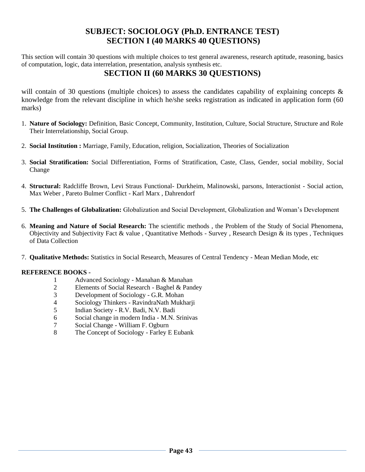# **SUBJECT: SOCIOLOGY (Ph.D. ENTRANCE TEST) SECTION I (40 MARKS 40 QUESTIONS)**

This section will contain 30 questions with multiple choices to test general awareness, research aptitude, reasoning, basics of computation, logic, data interrelation, presentation, analysis synthesis etc.

# **SECTION II (60 MARKS 30 QUESTIONS)**

will contain of 30 questions (multiple choices) to assess the candidates capability of explaining concepts & knowledge from the relevant discipline in which he/she seeks registration as indicated in application form (60 marks)

- 1. **Nature of Sociology:** Definition, Basic Concept, Community, Institution, Culture, Social Structure, Structure and Role Their Interrelationship, Social Group.
- 2. **Social Institution :** Marriage, Family, Education, religion, Socialization, Theories of Socialization
- 3. **Social Stratification:** Social Differentiation, Forms of Stratification, Caste, Class, Gender, social mobility, Social Change
- 4. **Structural:** Radcliffe Brown, Levi Straus Functional- Durkheim, Malinowski, parsons, Interactionist Social action, Max Weber , Pareto Bulmer Conflict - Karl Marx , Dahrendorf
- 5. **The Challenges of Globalization:** Globalization and Social Development, Globalization and Woman's Development
- 6. **Meaning and Nature of Social Research:** The scientific methods , the Problem of the Study of Social Phenomena, Objectivity and Subjectivity Fact & value , Quantitative Methods - Survey , Research Design & its types , Techniques of Data Collection
- 7. **Qualitative Methods:** Statistics in Social Research, Measures of Central Tendency Mean Median Mode, etc

### **REFERENCE BOOKS -**

- 1 Advanced Sociology Manahan & Manahan
- 2 Elements of Social Research Baghel & Pandey
- 3 Development of Sociology G.R. Mohan
- 4 Sociology Thinkers RavindraNath Mukharji
- 5 Indian Society R.V. Badi, N.V. Badi
- 6 Social change in modern India M.N. Srinivas
- 7 Social Change William F. Ogburn
- 8 The Concept of Sociology Farley E Eubank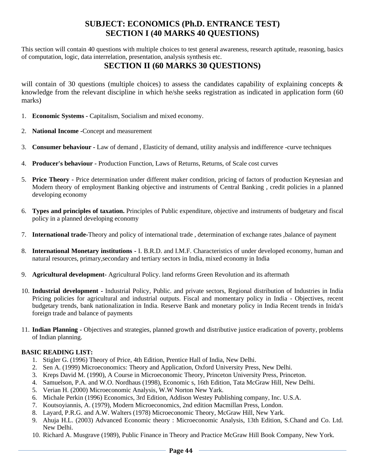# **SUBJECT: ECONOMICS (Ph.D. ENTRANCE TEST) SECTION I (40 MARKS 40 QUESTIONS)**

This section will contain 40 questions with multiple choices to test general awareness, research aptitude, reasoning, basics of computation, logic, data interrelation, presentation, analysis synthesis etc.

# **SECTION II (60 MARKS 30 QUESTIONS)**

will contain of 30 questions (multiple choices) to assess the candidates capability of explaining concepts & knowledge from the relevant discipline in which he/she seeks registration as indicated in application form (60 marks)

- 1. **Economic Systems -** Capitalism, Socialism and mixed economy.
- 2. **National Income -**Concept and measurement
- 3. **Consumer behaviour -** Law of demand , Elasticity of demand, utility analysis and indifference -curve techniques
- 4. **Producer's behaviour -** Production Function, Laws of Returns, Returns, of Scale cost curves
- 5. **Price Theory -** Price determination under different maker condition, pricing of factors of production Keynesian and Modern theory of employment Banking objective and instruments of Central Banking , credit policies in a planned developing economy
- 6. **Types and principles of taxation.** Principles of Public expenditure, objective and instruments of budgetary and fiscal policy in a planned developing economy
- 7. **International trade-**Theory and policy of international trade , determination of exchange rates ,balance of payment
- 8. **International Monetary institutions -** I. B.R.D. and I.M.F. Characteristics of under developed economy, human and natural resources, primary,secondary and tertiary sectors in India, mixed economy in India
- 9. **Agricultural development-** Agricultural Policy. land reforms Green Revolution and its aftermath
- 10. **Industrial development -** Industrial Policy, Public. and private sectors, Regional distribution of Industries in India Pricing policies for agricultural and industrial outputs. Fiscal and momentary policy in India - Objectives, recent budgetary trends, bank nationalization in India. Reserve Bank and monetary policy in India Recent trends in Inida's foreign trade and balance of payments
- 11. **Indian Planning -** Objectives and strategies, planned growth and distributive justice eradication of poverty, problems of Indian planning.

### **BASIC READING LIST:**

- 1. Stigler G. (1996) Theory of Price, 4th Edition, Prentice Hall of India, New Delhi.
- 2. Sen A. (1999) Microeconomics: Theory and Application, Oxford University Press, New Delhi.
- 3. Kreps David M. (1990), A Course in Microeconomic Theory, Princeton University Press, Princeton.
- 4. Samuelson, P.A. and W.O. Nordhaus (1998), Economic s, 16th Edition, Tata McGraw Hill, New Delhi.
- 5. Verian H. (2000) Microeconomic Analysis, W.W Norton New Yark.
- 6. Michale Perkin (1996) Economics, 3rd Edition, Addison Westey Publishing company, Inc. U.S.A.
- 7. Koutsoyiannis, A. (1979), Modern Microeconomics, 2nd edition Macmillan Press, London.
- 8. Layard, P.R.G. and A.W. Walters (1978) Microeconomic Theory, McGraw Hill, New Yark.
- 9. Ahuja H.L. (2003) Advanced Economic theory : Microeconomic Analysis, 13th Edition, S.Chand and Co. Ltd. New Delhi.
- 10. Richard A. Musgrave (1989), Public Finance in Theory and Practice McGraw Hill Book Company, New York.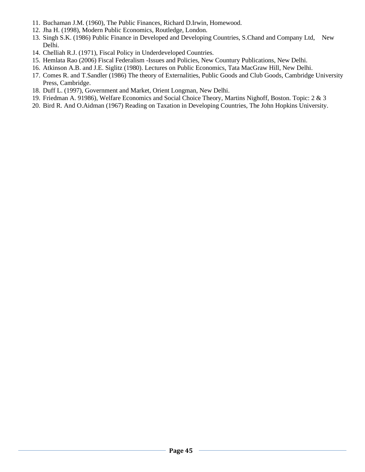- 11. Buchaman J.M. (1960), The Public Finances, Richard D.Irwin, Homewood.
- 12. Jha H. (1998), Modern Public Economics, Routledge, London.
- 13. Singh S.K. (1986) Public Finance in Developed and Developing Countries, S.Chand and Company Ltd, New Delhi.
- 14. Chelliah R.J. (1971), Fiscal Policy in Underdeveloped Countries.
- 15. Hemlata Rao (2006) Fiscal Federalism -Issues and Policies, New Countury Publications, New Delhi.
- 16. Atkinson A.B. and J.E. Siglitz (1980). Lectures on Public Economics, Tata MacGraw Hill, New Delhi.
- 17. Comes R. and T.Sandler (1986) The theory of Externalities, Public Goods and Club Goods, Cambridge University Press, Cambridge.
- 18. Duff L. (1997), Government and Market, Orient Longman, New Delhi.
- 19. Friedman A. 91986), Welfare Economics and Social Choice Theory, Martins Nighoff, Boston. Topic: 2 & 3
- 20. Bird R. And O.Aidman (1967) Reading on Taxation in Developing Countries, The John Hopkins University.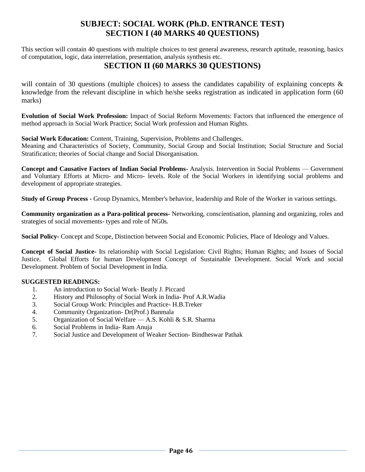# **SUBJECT: SOCIAL WORK (Ph.D. ENTRANCE TEST) SECTION I (40 MARKS 40 QUESTIONS)**

This section will contain 40 questions with multiple choices to test general awareness, research aptitude, reasoning, basics of computation, logic, data interrelation, presentation, analysis synthesis etc.

# **SECTION II (60 MARKS 30 QUESTIONS)**

will contain of 30 questions (multiple choices) to assess the candidates capability of explaining concepts  $\&$ knowledge from the relevant discipline in which he/she seeks registration as indicated in application form (60 marks)

**Evolution of Social Work Profession:** Impact of Social Reform Movements: Factors that influenced the emergence of method approach in Social Work Practice; Social Work profession and Human Rights.

**Social Work Education:** Content, Training, Supervision, Problems and Challenges.

Meaning and Characteristics of Society, Community, Social Group and Social Institution; Social Structure and Social Stratificaticn; theories of Social change and Social Disorganisation.

**Concept and Causative Factors of Indian Social Problems-** Analysis. Intervention in Social Problems — Government and Voluntary Efforts at Micro- and Micro- levels. Role of the Social Workers in identifying social problems and development of appropriate strategies.

**Study of Group Process -** Group Dynamics, Member's behavior, leadership and Role of the Worker in various settings.

**Community organization as a Para-political process-** Networking, conscientisation, planning and organizing, roles and strategies of social movements- types and role of NG0s.

**Social Policy-** Concept and Scope, Distinction between Social and Economic Policies, Place of Ideology and Values.

**Concept of Social Justice-** Its relationship with Social Legislation: Civil Rights; Human Rights; and Issues of Social Justice. Global Efforts for human Development Concept of Sustainable Development. Social Work and social Development. Problem of Social Development in India.

### **SUGGESTED READINGS:**

- 1. An introduction to Social Work- Beatly J. Piccard
- 2. History and Philosophy of Social Work in India- Prof A.R.Wadia
- 3. Social Group Work: Principles and Practice- H.B.Treker
- 4. Community Organization- Dr(Prof.) Banmala
- 5. Organization of Social Welfare A.S. Kohli & S.R. Sharma
- 6. Social Problems in India- Ram Anuja
- 7. Social Justice and Development of Weaker Section- Bindheswar Pathak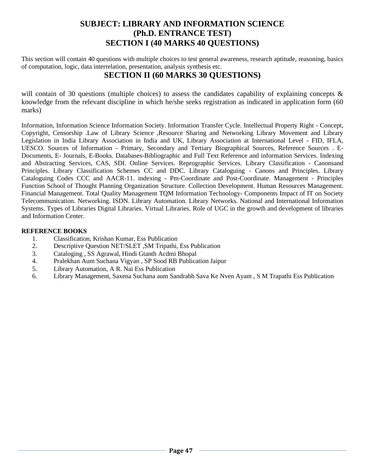# **SUBJECT: LIBRARY AND INFORMATION SCIENCE (Ph.D. ENTRANCE TEST) SECTION I (40 MARKS 40 QUESTIONS)**

This section will contain 40 questions with multiple choices to test general awareness, research aptitude, reasoning, basics of computation, logic, data interrelation, presentation, analysis synthesis etc.

# **SECTION II (60 MARKS 30 QUESTIONS)**

will contain of 30 questions (multiple choices) to assess the candidates capability of explaining concepts & knowledge from the relevant discipline in which he/she seeks registration as indicated in application form (60 marks)

Information, Information Science Information Society. Information Transfer Cycle. Intellectual Property Right - Concept, Copyright, Censorship .Law of Library Science ,Resource Sharing and Networking Library Movement and Library Legislation in India Library Association in India and UK, Library Association at International Level - FID, IFLA, UESCO. Sources of Information - Primary, Secondary and Tertiary Biographical Sources, Reference Sources . E-Documents, E- Journals, E-Books. Databases-Bibliographic and Full Text Reference and information Services. Indexing and Abstracting Services, CAS, SDI. Online Services. Reprographic Services. Library Classification - Canonsand Principles. Library Classification Schemes CC and DDC. Library Cataloguing - Canons and Principles. Library Cataloguing Codes CCC and AACR-11. indexing - Pm-Coordinate and Post-Coordinate. Management - Principles Function School of Thought Planning Organization Structure. Collection Development. Human Resources Management. Financial Management. Total Quality Management TQM Information Technology- Components Impact of IT on Society Telecommunication. Networking. ISDN. Library Automation. Library Networks. National and International Information Systems. Types of Libraries Digital Libraries. Virtual Libraries. Role of UGC in the growth and development of libraries and Information Center.

### **REFERENCE BOOKS**

- 1. Classification, Krishan Kumar, Ess Publication
- 2. Descriptive Question NET/SLET ,SM Tripathi, Ess Publication
- 3. Cataloging , SS Agrawal, Hindi Gtanth Acdmi Bhopal
- 4. Pralekhan Aum Suchana Vigyan , SP Sood RB Publication Jaipur
- 5. Library Automation, A R. Nai Ess Publication
- 6. Library Management, Saxena Suchana aum Sandrabh Sava Ke Nven Ayam , S M Trapathi Ess Publication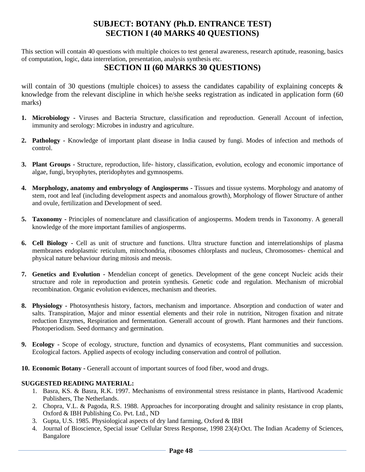# **SUBJECT: BOTANY (Ph.D. ENTRANCE TEST) SECTION I (40 MARKS 40 QUESTIONS)**

This section will contain 40 questions with multiple choices to test general awareness, research aptitude, reasoning, basics of computation, logic, data interrelation, presentation, analysis synthesis etc.

# **SECTION II (60 MARKS 30 QUESTIONS)**

will contain of 30 questions (multiple choices) to assess the candidates capability of explaining concepts & knowledge from the relevant discipline in which he/she seeks registration as indicated in application form (60 marks)

- **1. Microbiology -** Viruses and Bacteria Structure, classification and reproduction. Generall Account of infection, immunity and serology: Microbes in industry and agriculture.
- **2. Pathology -** Knowledge of important plant disease in India caused by fungi. Modes of infection and methods of control.
- **3. Plant Groups -** Structure, reproduction, life- history, classification, evolution, ecology and economic importance of algae, fungi, bryophytes, pteridophytes and gymnospems.
- **4. Morphology, anatomy and embryology of Angiosperms -** Tissues and tissue systems. Morphology and anatomy of stem, root and leaf (including development aspects and anomalous growth), Morphology of flower Structure of anther and ovule, fertilization and Development of seed.
- **5. Taxonomy -** Principles of nomenclature and classification of angiosperms. Modem trends in Taxonomy. A generall knowledge of the more important families of angiosperms.
- **6. Cell Biology -** Cell as unit of structure and functions. Ultra structure function and interrelationships of plasma membranes endoplasmic reticulum, mitochondria, ribosomes chlorplasts and nucleus, Chromosomes- chemical and physical nature behaviour during mitosis and meosis.
- **7. Genetics and Evolution -** Mendelian concept of genetics. Development of the gene concept Nucleic acids their structure and role in reproduction and protein synthesis. Genetic code and regulation. Mechanism of microbial recombination. Organic evolution evidences, mechanism and theories.
- **8. Physiology -** Photosynthesis history, factors, mechanism and importance. Absorption and conduction of water and salts. Transpiration, Major and minor essential elements and their role in nutrition, Nitrogen fixation and nitrate reduction Enzymes, Respiration and fermentation. Generall account of growth. Plant harmones and their functions. Photoperiodism. Seed dormancy and germination.
- **9. Ecology -** Scope of ecology, structure, function and dynamics of ecosystems, Plant communities and succession. Ecological factors. Applied aspects of ecology including conservation and control of pollution.
- **10. Economic Botany -** Generall account of important sources of food fiber, wood and drugs.

### **SUGGESTED READING MATERIAL:**

- 1. Basra, KS. & Basra, R.K. 1997. Mechanisms of environmental stress resistance in plants, Hartivood Academic Publishers, The Netherlands.
- 2. Chopra, V.L. & Pagoda, R.S. 1988. Approaches for incorporating drought and salinity resistance in crop plants, Oxford & IBH Publishing Co. Pvt. Ltd., ND
- 3. Gupta, U.S. 1985. Physiological aspects of dry land farming, Oxford & IBH
- 4. Journal of Bioscience, Special issue' Cellular Stress Response, 1998 23(4):Oct. The Indian Academy of Sciences, Bangalore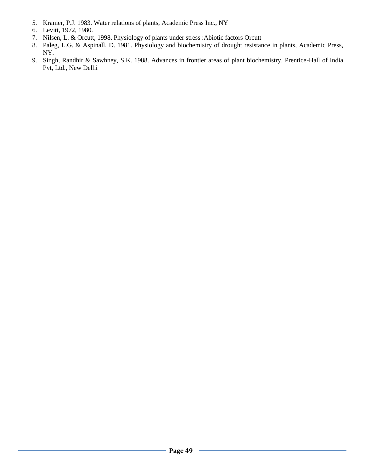- 5. Kramer, P.J. 1983. Water relations of plants, Academic Press Inc., NY
- 6. Levitt, 1972, 1980.
- 7. Nilsen, L. & Orcutt, 1998. Physiology of plants under stress :Abiotic factors Orcutt
- 8. Paleg, L.G. & Aspinall, D. 1981. Physiology and biochemistry of drought resistance in plants, Academic Press, NY.
- 9. Singh, Randhir & Sawhney, S.K. 1988. Advances in frontier areas of plant biochemistry, Prentice-Hall of India Pvt, Ltd., New Delhi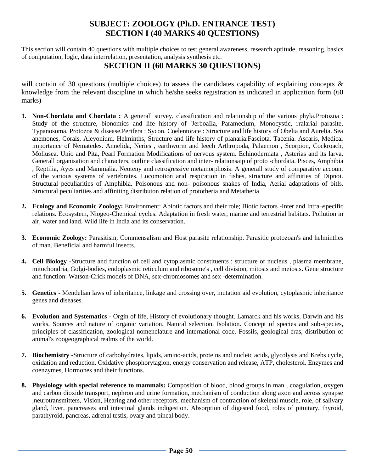# **SUBJECT: ZOOLOGY (Ph.D. ENTRANCE TEST) SECTION I (40 MARKS 40 QUESTIONS)**

This section will contain 40 questions with multiple choices to test general awareness, research aptitude, reasoning, basics of computation, logic, data interrelation, presentation, analysis synthesis etc.

# **SECTION II (60 MARKS 30 QUESTIONS)**

will contain of 30 questions (multiple choices) to assess the candidates capability of explaining concepts  $\&$ knowledge from the relevant discipline in which he/she seeks registration as indicated in application form (60 marks)

- **1. Non-Chordata and Chordata :** A generall survey, classification and relationship of the various phyla.Protozoa : Study of the structure, bionomics and life history of 'JerboaIla, Paramecium, Monocystic, rralarial parasite, Typanosoma. Protozoa & disease.Perifera : Sycon. Coelentorate : Structure and life history of Obelia and Aurelia. Sea anemones, Corals, Aleyonium. Helminths, Structure and life history of planaria.Fasciota. Tacenia. Ascaris, Medical importance of Nematedes. Annelida, Neries , earthworm and leech Arthropoda, Palaemon , Scorpion, Cockroach, Mollusea. Unio and Pita, Pearl Formation Modifications of nervous system. Echinodermata , Asterias and its larva. Generall organisation and characters, outline classification and inter- relationsaip of proto -chordata. Pisces, Amphibia , Reptilia, Ayes and Mammalia. Neoteny and retrogressive metamorphosis. A generall study of comparative account of the various systems of vertebrates. Locomotion arid respiration in fishes, structure and affinities of Dipnoi. Structural peculiarities of Amphibia. Poisonous and non- poisonous snakes of India, Aerial adaptations of bitls. Structural peculiarities and affiniting distributon relation of prototheria and Metatheria
- **2. Ecology and Economic Zoology:** Environment: Abiotic factors and their role; Biotic factors -Inter and Intra¬specific relations. Ecosystem, Niogeo-Chemical cycles. Adaptation in fresh water, marine and terrestrial habitats. Pollution in air, water and land. Wild life in India and its conservation.
- **3. Economic Zoology:** Parasitism, Commensalism and Host parasite relationship. Parasitic protozoan's and helminthes of man. Beneficial and harmful insects.
- **4. Cell Biology -**Structure and function of cell and cytoplasmic constituents : structure of nucleus , plasma membrane, mitochondria, Golgi-bodies, endoplasmic reticulum and ribosome's , cell division, mitosis and meiosis. Gene structure and function: Watson-Crick models of DNA, sex-chromosomes and sex -determination.
- **5. Genetics -** Mendelian laws of inheritance, linkage and crossing over, mutation aid evolution, cytoplasmic inheritance genes and diseases.
- **6. Evolution and Systematics -** Orgin of life, History of evolutionary thought. Lamarck and his works, Darwin and his works, Sources and nature of organic variation. Natural selection, Isolation. Concept of species and sub-species, principles of classification, zoological nomenclature and international code. Fossils, geological eras, distribution of animal's zoogeographical realms of the world.
- **7. Biochemistry -**Structure of carbohydrates, lipids, amino-acids, proteins and nucleic acids, glycolysis and Krebs cycle, oxidation and reduction. Oxidative phosphorytagion, energy conservation and release, ATP, cholesterol. Enzymes and coenzymes, Hormones and their functions.
- **8. Physiology with special reference to mammals:** Composition of blood, blood groups in man , coagulation, oxygen and carbon dioxide transport, nephron and urine formation, mechanism of conduction along axon and across synapse ,neurotransmitters, Vision, Hearing and other receptors, mechanism of contraction of skeletal muscle, role, of salivary gland, liver, pancreases and intestinal glands indigestion. Absorption of digested food, roles of pituitary, thyroid, parathyroid, pancreas, adrenal testis, ovary and pineal body.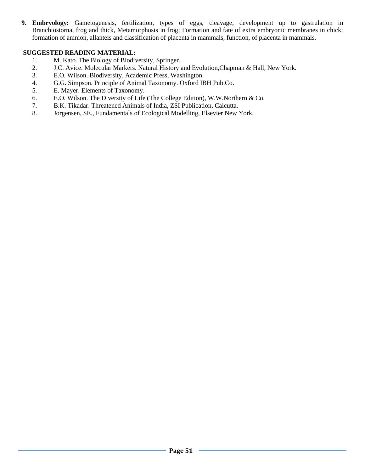**9. Embryology:** Gametogenesis, fertilization, types of eggs, cleavage, development up to gastrulation in Branchiostorna, frog and thick, Metamorphosis in frog; Formation and fate of extra embryonic membranes in chick; formation of amnion, allanteis and classification of placenta in mammals, function, of placenta in mammals.

### **SUGGESTED READING MATERIAL:**

- 1. M. Kato. The Biology of Biodiversity, Springer.
- 2. J.C. Avice. Molecular Markers. Natural History and Evolution,Chapman & Hall, New York.
- 3. E.O. Wilson. Biodiversity, Academic Press, Washington.
- 4. G.G. Simpson. Principle of Animal Taxonomy. Oxford IBH Pub.Co.
- 5. E. Mayer. Elements of Taxonomy.
- 6. E.O. Wilson. The Diversity of Life (The College Edition), W.W.Northern & Co.
- 7. B.K. Tikadar. Threatened Animals of India, ZSI Publication, Calcutta.
- 8. Jorgensen, SE., Fundamentals of Ecological Modelling, Elsevier New York.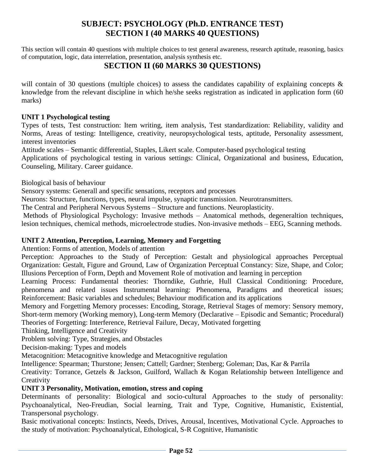# **SUBJECT: PSYCHOLOGY (Ph.D. ENTRANCE TEST) SECTION I (40 MARKS 40 QUESTIONS)**

This section will contain 40 questions with multiple choices to test general awareness, research aptitude, reasoning, basics of computation, logic, data interrelation, presentation, analysis synthesis etc.

# **SECTION II (60 MARKS 30 QUESTIONS)**

will contain of 30 questions (multiple choices) to assess the candidates capability of explaining concepts  $\&$ knowledge from the relevant discipline in which he/she seeks registration as indicated in application form (60 marks)

### **UNIT 1 Psychological testing**

Types of tests, Test construction: Item writing, item analysis, Test standardization: Reliability, validity and Norms, Areas of testing: Intelligence, creativity, neuropsychological tests, aptitude, Personality assessment, interest inventories

Attitude scales – Semantic differential, Staples, Likert scale. Computer-based psychological testing

Applications of psychological testing in various settings: Clinical, Organizational and business, Education, Counseling, Military. Career guidance.

Biological basis of behaviour

Sensory systems: Generall and specific sensations, receptors and processes

Neurons: Structure, functions, types, neural impulse, synaptic transmission. Neurotransmitters.

The Central and Peripheral Nervous Systems – Structure and functions. Neuroplasticity.

Methods of Physiological Psychology: Invasive methods – Anatomical methods, degeneraltion techniques, lesion techniques, chemical methods, microelectrode studies. Non-invasive methods – EEG, Scanning methods.

### **UNIT 2 Attention, Perception, Learning, Memory and Forgetting**

Attention: Forms of attention, Models of attention

Perception: Approaches to the Study of Perception: Gestalt and physiological approaches Perceptual Organization: Gestalt, Figure and Ground, Law of Organization Perceptual Constancy: Size, Shape, and Color; Illusions Perception of Form, Depth and Movement Role of motivation and learning in perception

Learning Process: Fundamental theories: Thorndike, Guthrie, Hull Classical Conditioning: Procedure, phenomena and related issues Instrumental learning: Phenomena, Paradigms and theoretical issues; Reinforcement: Basic variables and schedules; Behaviour modification and its applications

Memory and Forgetting Memory processes: Encoding, Storage, Retrieval Stages of memory: Sensory memory, Short-term memory (Working memory), Long-term Memory (Declarative – Episodic and Semantic; Procedural) Theories of Forgetting: Interference, Retrieval Failure, Decay, Motivated forgetting

Thinking, Intelligence and Creativity

Problem solving: Type, Strategies, and Obstacles

Decision-making: Types and models

Metacognition: Metacognitive knowledge and Metacognitive regulation

Intelligence: Spearman; Thurstone; Jensen; Cattell; Gardner; Stenberg; Goleman; Das, Kar & Parrila

Creativity: Torrance, Getzels & Jackson, Guilford, Wallach & Kogan Relationship between Intelligence and **Creativity** 

### **UNIT 3 Personality, Motivation, emotion, stress and coping**

Determinants of personality: Biological and socio-cultural Approaches to the study of personality: Psychoanalytical, Neo-Freudian, Social learning, Trait and Type, Cognitive, Humanistic, Existential, Transpersonal psychology.

Basic motivational concepts: Instincts, Needs, Drives, Arousal, Incentives, Motivational Cycle. Approaches to the study of motivation: Psychoanalytical, Ethological, S-R Cognitive, Humanistic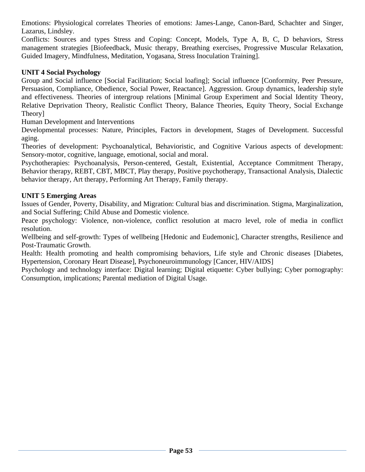Emotions: Physiological correlates Theories of emotions: James-Lange, Canon-Bard, Schachter and Singer, Lazarus, Lindsley.

Conflicts: Sources and types Stress and Coping: Concept, Models, Type A, B, C, D behaviors, Stress management strategies [Biofeedback, Music therapy, Breathing exercises, Progressive Muscular Relaxation, Guided Imagery, Mindfulness, Meditation, Yogasana, Stress Inoculation Training].

### **UNIT 4 Social Psychology**

Group and Social influence [Social Facilitation; Social loafing]; Social influence [Conformity, Peer Pressure, Persuasion, Compliance, Obedience, Social Power, Reactance]. Aggression. Group dynamics, leadership style and effectiveness. Theories of intergroup relations [Minimal Group Experiment and Social Identity Theory, Relative Deprivation Theory, Realistic Conflict Theory, Balance Theories, Equity Theory, Social Exchange Theory]

Human Development and Interventions

Developmental processes: Nature, Principles, Factors in development, Stages of Development. Successful aging.

Theories of development: Psychoanalytical, Behavioristic, and Cognitive Various aspects of development: Sensory-motor, cognitive, language, emotional, social and moral.

Psychotherapies: Psychoanalysis, Person-centered, Gestalt, Existential, Acceptance Commitment Therapy, Behavior therapy, REBT, CBT, MBCT, Play therapy, Positive psychotherapy, Transactional Analysis, Dialectic behavior therapy, Art therapy, Performing Art Therapy, Family therapy.

### **UNIT 5 Emerging Areas**

Issues of Gender, Poverty, Disability, and Migration: Cultural bias and discrimination. Stigma, Marginalization, and Social Suffering; Child Abuse and Domestic violence.

Peace psychology: Violence, non-violence, conflict resolution at macro level, role of media in conflict resolution.

Wellbeing and self-growth: Types of wellbeing [Hedonic and Eudemonic], Character strengths, Resilience and Post-Traumatic Growth.

Health: Health promoting and health compromising behaviors, Life style and Chronic diseases [Diabetes, Hypertension, Coronary Heart Disease], Psychoneuroimmunology [Cancer, HIV/AIDS]

Psychology and technology interface: Digital learning; Digital etiquette: Cyber bullying; Cyber pornography: Consumption, implications; Parental mediation of Digital Usage.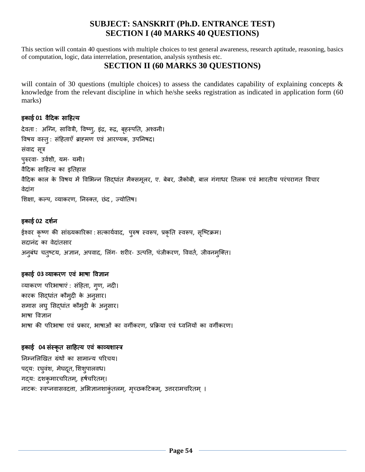# **SUBJECT: SANSKRIT (Ph.D. ENTRANCE TEST) SECTION I (40 MARKS 40 QUESTIONS)**

This section will contain 40 questions with multiple choices to test general awareness, research aptitude, reasoning, basics of computation, logic, data interrelation, presentation, analysis synthesis etc.

# **SECTION II (60 MARKS 30 QUESTIONS)**

will contain of 30 questions (multiple choices) to assess the candidates capability of explaining concepts & knowledge from the relevant discipline in which he/she seeks registration as indicated in application form (60 marks)

### इकाई **01** वैदिक सादित्य

देवता : अग्नि, सावित्री, विष्णू, इंद्र, रूद्र, बृहस्पति, अश्वनी। विषय वस्तुः संहिताएँ ब्राह्मण एवं आरण्यक, उपनिषद। संवाद सूत्र पुरुरवा- उववशी, यम- यमी। वैदिक सादित्य का इततिास वैदिक काल के विषय में विभिन्न सिद्धांत मैक्समूलर, ए. बेबर, जैकोबी, बाल गंगाधर तिलक एवं भारतीय परंपरागत विचार वेदांग शिक्षा, कल्प, व्याकरण, निरुक्त, छंद , ज्योतिष।

### इकाई 02 दर्शन

ईश्वर कृष्ण की सांख्यकारिका : सत्कार्यवाद, पुरुष स्वरूप, प्रकृति स्वरूप, सृष्टिक्रम। सदानंद का वेदांतसार अनुबंध चतुष्टय, अज्ञान, अपवाद, लिंग- शरीर- उत्पत्ति, पंजीकरण, विवर्त, जीवनमुक्ति।

### इकाई 03 व्याकरण एवं भाषा विज्ञान

व्याकरण परिभाषाएं : संहिता, गूण, नदी। कारक सिद्धांत कौम्दी के अनुसार। समास लघु सिद्धांत कौमुदी के अनुसार। भाषा विज्ञान िाषा की पररिाषा एवं प्रकार, िाषाओं का वगीकरण, प्रक्रक्रया एवं ध्वतियों का वगीकरण।

### इकाई **04** संस्कृत सादित्य एव ं काव्यशास्त्र

निम्नलिखित ग्रंथों का सामान्य परिचय। पद्य: रघुवंश, मेघदूत, शिशुपालवध। गद्य: दशकुमारचरितम्, हर्षचरितम्। नाटक: स्वप्नवासवदत्ता, अभिज्ञानशाकुंतलम्, मृच्छकटिकम्, उत्तररामचरितम् ।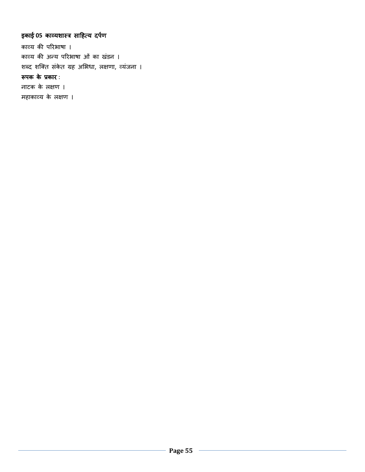# इकाई 05 काव्यशास्त्र साहित्य दर्पण

काव्य की परिभाषा । काव्य की अन्य परिभाषा ओं का खंडन । शब्द शक्ति संकेत ग्रह अभिधा, लक्षणा, व्यंजना । रूपक के प्रकार :

नाटक के लक्षण ।

महाकाव्य के लक्षण ।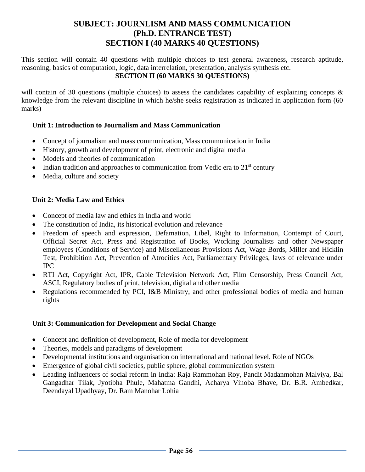# **SUBJECT: JOURNLISM AND MASS COMMUNICATION (Ph.D. ENTRANCE TEST) SECTION I (40 MARKS 40 QUESTIONS)**

This section will contain 40 questions with multiple choices to test general awareness, research aptitude, reasoning, basics of computation, logic, data interrelation, presentation, analysis synthesis etc. **SECTION II (60 MARKS 30 QUESTIONS)**

will contain of 30 questions (multiple choices) to assess the candidates capability of explaining concepts  $\&$ knowledge from the relevant discipline in which he/she seeks registration as indicated in application form (60 marks)

### **Unit 1: Introduction to Journalism and Mass Communication**

- Concept of journalism and mass communication, Mass communication in India
- History, growth and development of print, electronic and digital media
- Models and theories of communication
- Indian tradition and approaches to communication from Vedic era to  $21<sup>st</sup>$  century
- Media, culture and society

### **Unit 2: Media Law and Ethics**

- Concept of media law and ethics in India and world
- The constitution of India, its historical evolution and relevance
- Freedom of speech and expression, Defamation, Libel, Right to Information, Contempt of Court, Official Secret Act, Press and Registration of Books, Working Journalists and other Newspaper employees (Conditions of Service) and Miscellaneous Provisions Act, Wage Bords, Miller and Hicklin Test, Prohibition Act, Prevention of Atrocities Act, Parliamentary Privileges, laws of relevance under IPC
- RTI Act, Copyright Act, IPR, Cable Television Network Act, Film Censorship, Press Council Act, ASCI, Regulatory bodies of print, television, digital and other media
- Regulations recommended by PCI, I&B Ministry, and other professional bodies of media and human rights

### **Unit 3: Communication for Development and Social Change**

- Concept and definition of development, Role of media for development
- Theories, models and paradigms of development
- Developmental institutions and organisation on international and national level, Role of NGOs
- Emergence of global civil societies, public sphere, global communication system
- Leading influencers of social reform in India: Raja Rammohan Roy, Pandit Madanmohan Malviya, Bal Gangadhar Tilak, Jyotibha Phule, Mahatma Gandhi, Acharya Vinoba Bhave, Dr. B.R. Ambedkar, Deendayal Upadhyay, Dr. Ram Manohar Lohia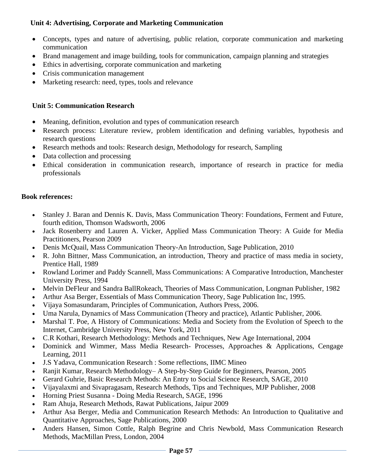### **Unit 4: Advertising, Corporate and Marketing Communication**

- Concepts, types and nature of advertising, public relation, corporate communication and marketing communication
- Brand management and image building, tools for communication, campaign planning and strategies
- Ethics in advertising, corporate communication and marketing
- Crisis communication management
- Marketing research: need, types, tools and relevance

### **Unit 5: Communication Research**

- Meaning, definition, evolution and types of communication research
- Research process: Literature review, problem identification and defining variables, hypothesis and research questions
- Research methods and tools: Research design, Methodology for research, Sampling
- Data collection and processing
- Ethical consideration in communication research, importance of research in practice for media professionals

### **Book references:**

- Stanley J. Baran and Dennis K. Davis, Mass Communication Theory: Foundations, Ferment and Future, fourth edition, Thomson Wadsworth, 2006
- Jack Rosenberry and Lauren A. Vicker, Applied Mass Communication Theory: A Guide for Media Practitioners, Pearson 2009
- Denis McQuail, Mass Communication Theory-An Introduction, Sage Publication, 2010
- R. John Bittner, Mass Communication, an introduction, Theory and practice of mass media in society, Prentice Hall, 1989
- Rowland Lorimer and Paddy Scannell, Mass Communications: A Comparative Introduction, Manchester University Press, 1994
- Melvin DeFleur and Sandra BallRokeach, Theories of Mass Communication, Longman Publisher, 1982
- Arthur Asa Berger, Essentials of Mass Communication Theory, Sage Publication Inc, 1995.
- Vijaya Somasundaram, Principles of Communication, Authors Press, 2006.
- Uma Narula, Dynamics of Mass Communication (Theory and practice), Atlantic Publisher, 2006.
- Marshal T. Poe, A History of Communications: Media and Society from the Evolution of Speech to the Internet, Cambridge University Press, New York, 2011
- C.R Kothari, Research Methodology: Methods and Techniques, New Age International, 2004
- Dominick and Wimmer, Mass Media Research- Processes, Approaches & Applications, Cengage Learning, 2011
- J.S Yadava, Communication Research : Some reflections, IIMC Mineo
- Ranjit Kumar, Research Methodology– A Step-by-Step Guide for Beginners, Pearson, 2005
- Gerard Guhrie, Basic Research Methods: An Entry to Social Science Research, SAGE, 2010
- Vijayalaxmi and Sivapragasam, Research Methods, Tips and Techniques, MJP Publisher, 2008
- Horning Priest Susanna Doing Media Research, SAGE, 1996
- Ram Ahuja, Research Methods, Rawat Publications, Jaipur 2009
- Arthur Asa Berger, Media and Communication Research Methods: An Introduction to Qualitative and Quantitative Approaches, Sage Publications, 2000
- Anders Hansen, Simon Cottle, Ralph Begrine and Chris Newbold, Mass Communication Research Methods, MacMillan Press, London, 2004